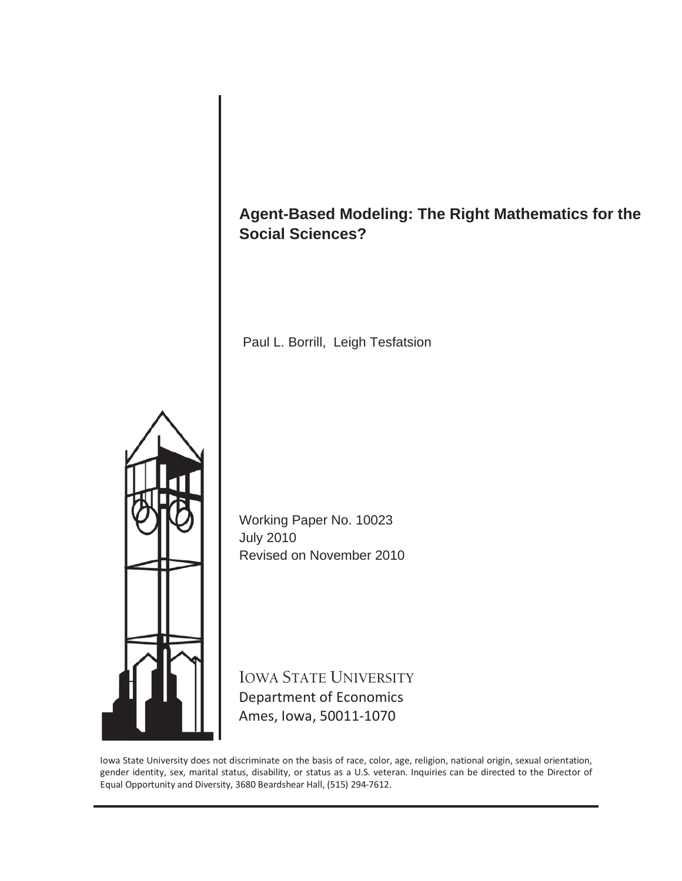# **Agent-Based Modeling: The Right Mathematics for the Social Sciences?**

Paul L. Borrill, Leigh Tesfatsion



Working Paper No. 10023 July 2010 Revised on November 2010

IOWA STATE UNIVERSITY Department of Economics Ames, Iowa, 50011-1070

Iowa State University does not discriminate on the basis of race, color, age, religion, national origin, sexual orientation, gender identity, sex, marital status, disability, or status as a U.S. veteran. Inquiries can be directed to the Director of Equal Opportunity and Diversity, 3680 Beardshear Hall, (515) 294-7612.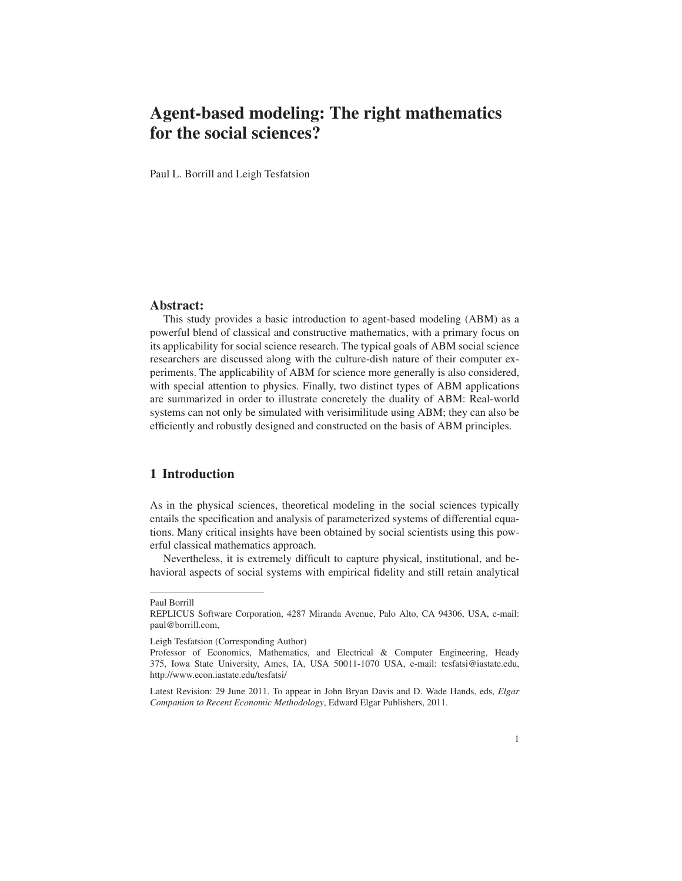# Agent-based modeling: The right mathematics for the social sciences?

Paul L. Borrill and Leigh Tesfatsion

### Abstract:

This study provides a basic introduction to agent-based modeling (ABM) as a powerful blend of classical and constructive mathematics, with a primary focus on its applicability for social science research. The typical goals of ABM social science researchers are discussed along with the culture-dish nature of their computer experiments. The applicability of ABM for science more generally is also considered, with special attention to physics. Finally, two distinct types of ABM applications are summarized in order to illustrate concretely the duality of ABM: Real-world systems can not only be simulated with verisimilitude using ABM; they can also be efficiently and robustly designed and constructed on the basis of ABM principles.

# 1 Introduction

As in the physical sciences, theoretical modeling in the social sciences typically entails the specification and analysis of parameterized systems of differential equations. Many critical insights have been obtained by social scientists using this powerful classical mathematics approach.

Nevertheless, it is extremely difficult to capture physical, institutional, and behavioral aspects of social systems with empirical fidelity and still retain analytical

Paul Borrill

REPLICUS Software Corporation, 4287 Miranda Avenue, Palo Alto, CA 94306, USA, e-mail: paul@borrill.com,

Leigh Tesfatsion (Corresponding Author)

Professor of Economics, Mathematics, and Electrical & Computer Engineering, Heady 375, Iowa State University, Ames, IA, USA 50011-1070 USA, e-mail: tesfatsi@iastate.edu, http://www.econ.iastate.edu/tesfatsi/

Latest Revision: 29 June 2011. To appear in John Bryan Davis and D. Wade Hands, eds, *Elgar Companion to Recent Economic Methodology*, Edward Elgar Publishers, 2011.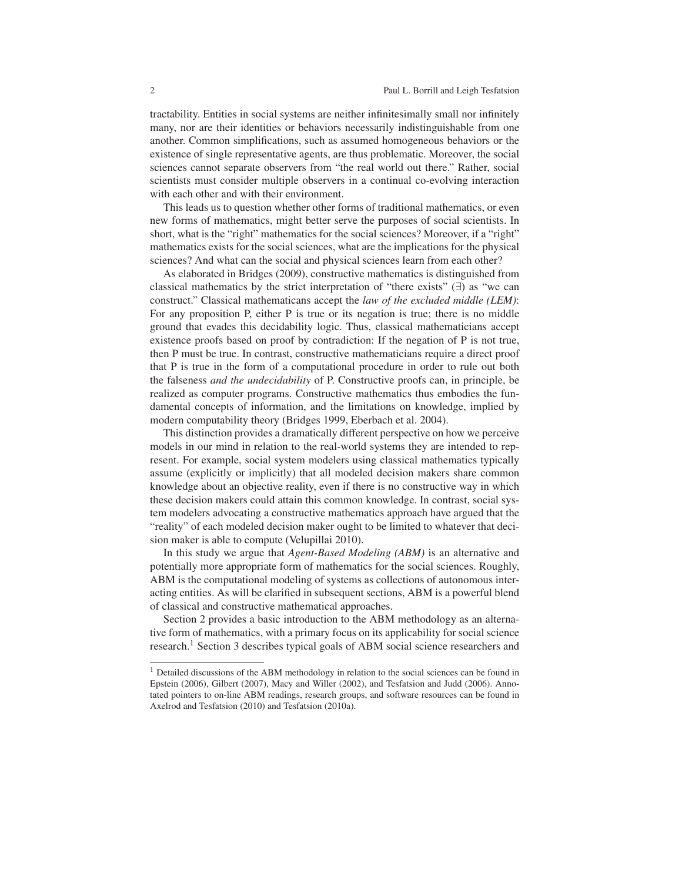tractability. Entities in social systems are neither infinitesimally small nor infinitely many, nor are their identities or behaviors necessarily indistinguishable from one another. Common simplifications, such as assumed homogeneous behaviors or the existence of single representative agents, are thus problematic. Moreover, the social sciences cannot separate observers from "the real world out there." Rather, social scientists must consider multiple observers in a continual co-evolving interaction with each other and with their environment.

This leads us to question whether other forms of traditional mathematics, or even new forms of mathematics, might better serve the purposes of social scientists. In short, what is the "right" mathematics for the social sciences? Moreover, if a "right" mathematics exists for the social sciences, what are the implications for the physical sciences? And what can the social and physical sciences learn from each other?

As elaborated in Bridges (2009), constructive mathematics is distinguished from classical mathematics by the strict interpretation of "there exists" (∃) as "we can construct." Classical mathematicans accept the *law of the excluded middle (LEM)*: For any proposition P, either P is true or its negation is true; there is no middle ground that evades this decidability logic. Thus, classical mathematicians accept existence proofs based on proof by contradiction: If the negation of P is not true, then P must be true. In contrast, constructive mathematicians require a direct proof that P is true in the form of a computational procedure in order to rule out both the falseness *and the undecidability* of P. Constructive proofs can, in principle, be realized as computer programs. Constructive mathematics thus embodies the fundamental concepts of information, and the limitations on knowledge, implied by modern computability theory (Bridges 1999, Eberbach et al. 2004).

This distinction provides a dramatically different perspective on how we perceive models in our mind in relation to the real-world systems they are intended to represent. For example, social system modelers using classical mathematics typically assume (explicitly or implicitly) that all modeled decision makers share common knowledge about an objective reality, even if there is no constructive way in which these decision makers could attain this common knowledge. In contrast, social system modelers advocating a constructive mathematics approach have argued that the "reality" of each modeled decision maker ought to be limited to whatever that decision maker is able to compute (Velupillai 2010).

In this study we argue that *Agent-Based Modeling (ABM)* is an alternative and potentially more appropriate form of mathematics for the social sciences. Roughly, ABM is the computational modeling of systems as collections of autonomous interacting entities. As will be clarified in subsequent sections, ABM is a powerful blend of classical and constructive mathematical approaches.

Section 2 provides a basic introduction to the ABM methodology as an alternative form of mathematics, with a primary focus on its applicability for social science research.<sup>1</sup> Section 3 describes typical goals of ABM social science researchers and

<sup>&</sup>lt;sup>1</sup> Detailed discussions of the ABM methodology in relation to the social sciences can be found in Epstein (2006), Gilbert (2007), Macy and Willer (2002), and Tesfatsion and Judd (2006). Annotated pointers to on-line ABM readings, research groups, and software resources can be found in Axelrod and Tesfatsion (2010) and Tesfatsion (2010a).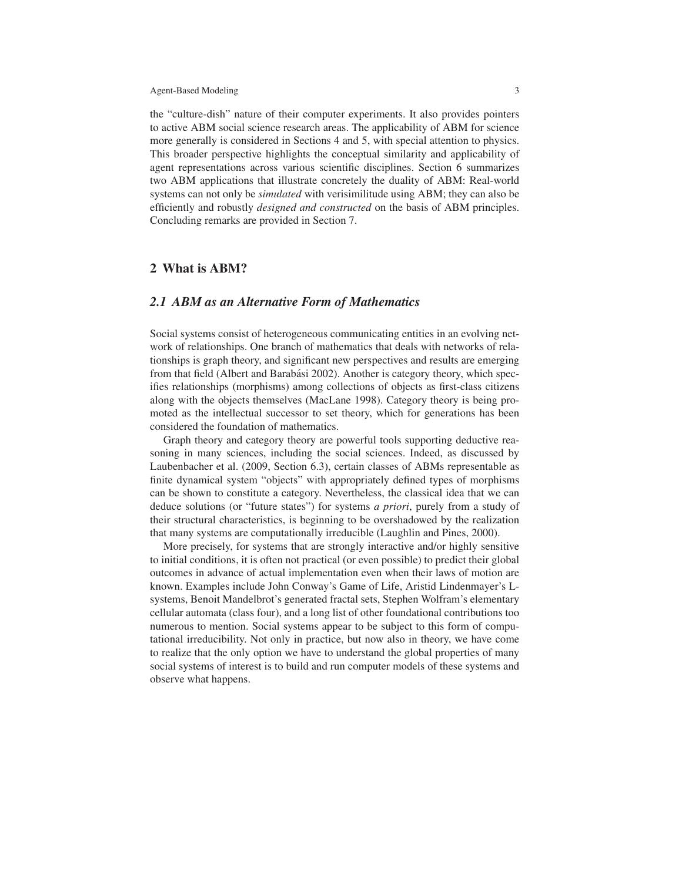the "culture-dish" nature of their computer experiments. It also provides pointers to active ABM social science research areas. The applicability of ABM for science more generally is considered in Sections 4 and 5, with special attention to physics. This broader perspective highlights the conceptual similarity and applicability of agent representations across various scientific disciplines. Section 6 summarizes two ABM applications that illustrate concretely the duality of ABM: Real-world systems can not only be *simulated* with verisimilitude using ABM; they can also be efficiently and robustly *designed and constructed* on the basis of ABM principles. Concluding remarks are provided in Section 7.

# 2 What is ABM?

### *2.1 ABM as an Alternative Form of Mathematics*

Social systems consist of heterogeneous communicating entities in an evolving network of relationships. One branch of mathematics that deals with networks of relationships is graph theory, and significant new perspectives and results are emerging from that field (Albert and Barabási 2002). Another is category theory, which specifies relationships (morphisms) among collections of objects as first-class citizens along with the objects themselves (MacLane 1998). Category theory is being promoted as the intellectual successor to set theory, which for generations has been considered the foundation of mathematics.

Graph theory and category theory are powerful tools supporting deductive reasoning in many sciences, including the social sciences. Indeed, as discussed by Laubenbacher et al. (2009, Section 6.3), certain classes of ABMs representable as finite dynamical system "objects" with appropriately defined types of morphisms can be shown to constitute a category. Nevertheless, the classical idea that we can deduce solutions (or "future states") for systems *a priori*, purely from a study of their structural characteristics, is beginning to be overshadowed by the realization that many systems are computationally irreducible (Laughlin and Pines, 2000).

More precisely, for systems that are strongly interactive and/or highly sensitive to initial conditions, it is often not practical (or even possible) to predict their global outcomes in advance of actual implementation even when their laws of motion are known. Examples include John Conway's Game of Life, Aristid Lindenmayer's Lsystems, Benoit Mandelbrot's generated fractal sets, Stephen Wolfram's elementary cellular automata (class four), and a long list of other foundational contributions too numerous to mention. Social systems appear to be subject to this form of computational irreducibility. Not only in practice, but now also in theory, we have come to realize that the only option we have to understand the global properties of many social systems of interest is to build and run computer models of these systems and observe what happens.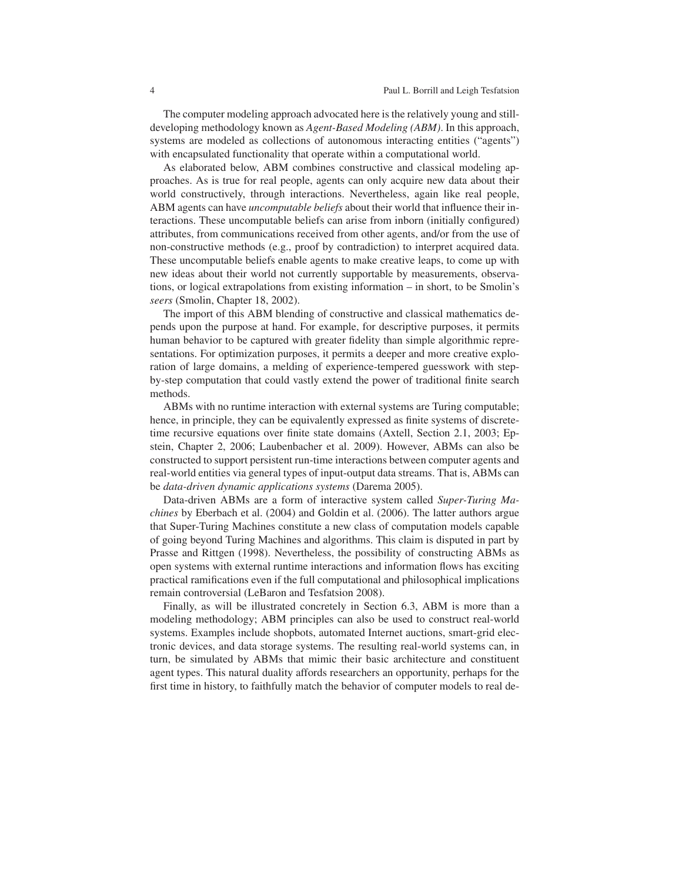The computer modeling approach advocated here is the relatively young and stilldeveloping methodology known as *Agent-Based Modeling (ABM)*. In this approach, systems are modeled as collections of autonomous interacting entities ("agents") with encapsulated functionality that operate within a computational world.

As elaborated below, ABM combines constructive and classical modeling approaches. As is true for real people, agents can only acquire new data about their world constructively, through interactions. Nevertheless, again like real people, ABM agents can have *uncomputable beliefs* about their world that influence their interactions. These uncomputable beliefs can arise from inborn (initially configured) attributes, from communications received from other agents, and/or from the use of non-constructive methods (e.g., proof by contradiction) to interpret acquired data. These uncomputable beliefs enable agents to make creative leaps, to come up with new ideas about their world not currently supportable by measurements, observations, or logical extrapolations from existing information – in short, to be Smolin's *seers* (Smolin, Chapter 18, 2002).

The import of this ABM blending of constructive and classical mathematics depends upon the purpose at hand. For example, for descriptive purposes, it permits human behavior to be captured with greater fidelity than simple algorithmic representations. For optimization purposes, it permits a deeper and more creative exploration of large domains, a melding of experience-tempered guesswork with stepby-step computation that could vastly extend the power of traditional finite search methods.

ABMs with no runtime interaction with external systems are Turing computable; hence, in principle, they can be equivalently expressed as finite systems of discretetime recursive equations over finite state domains (Axtell, Section 2.1, 2003; Epstein, Chapter 2, 2006; Laubenbacher et al. 2009). However, ABMs can also be constructed to support persistent run-time interactions between computer agents and real-world entities via general types of input-output data streams. That is, ABMs can be *data-driven dynamic applications systems* (Darema 2005).

Data-driven ABMs are a form of interactive system called *Super-Turing Machines* by Eberbach et al. (2004) and Goldin et al. (2006). The latter authors argue that Super-Turing Machines constitute a new class of computation models capable of going beyond Turing Machines and algorithms. This claim is disputed in part by Prasse and Rittgen (1998). Nevertheless, the possibility of constructing ABMs as open systems with external runtime interactions and information flows has exciting practical ramifications even if the full computational and philosophical implications remain controversial (LeBaron and Tesfatsion 2008).

Finally, as will be illustrated concretely in Section 6.3, ABM is more than a modeling methodology; ABM principles can also be used to construct real-world systems. Examples include shopbots, automated Internet auctions, smart-grid electronic devices, and data storage systems. The resulting real-world systems can, in turn, be simulated by ABMs that mimic their basic architecture and constituent agent types. This natural duality affords researchers an opportunity, perhaps for the first time in history, to faithfully match the behavior of computer models to real de-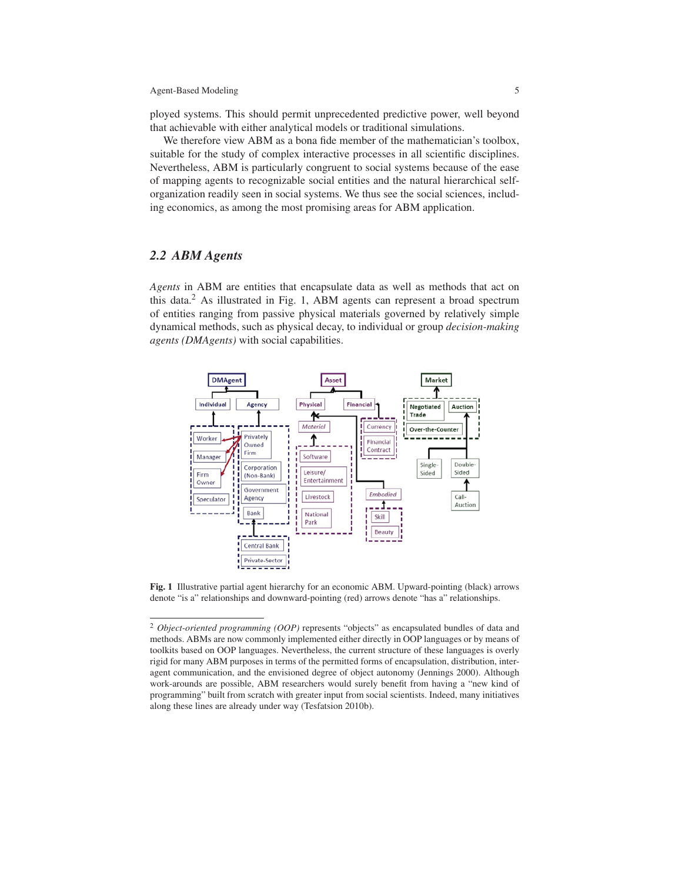ployed systems. This should permit unprecedented predictive power, well beyond that achievable with either analytical models or traditional simulations.

We therefore view ABM as a bona fide member of the mathematician's toolbox, suitable for the study of complex interactive processes in all scientific disciplines. Nevertheless, ABM is particularly congruent to social systems because of the ease of mapping agents to recognizable social entities and the natural hierarchical selforganization readily seen in social systems. We thus see the social sciences, including economics, as among the most promising areas for ABM application.

### *2.2 ABM Agents*

*Agents* in ABM are entities that encapsulate data as well as methods that act on this data. $<sup>2</sup>$  As illustrated in Fig. 1, ABM agents can represent a broad spectrum</sup> of entities ranging from passive physical materials governed by relatively simple dynamical methods, such as physical decay, to individual or group *decision-making agents (DMAgents)* with social capabilities.



Fig. 1 Illustrative partial agent hierarchy for an economic ABM. Upward-pointing (black) arrows denote "is a" relationships and downward-pointing (red) arrows denote "has a" relationships.

<sup>&</sup>lt;sup>2</sup> *Object-oriented programming (OOP)* represents "objects" as encapsulated bundles of data and methods. ABMs are now commonly implemented either directly in OOP languages or by means of toolkits based on OOP languages. Nevertheless, the current structure of these languages is overly rigid for many ABM purposes in terms of the permitted forms of encapsulation, distribution, interagent communication, and the envisioned degree of object autonomy (Jennings 2000). Although work-arounds are possible, ABM researchers would surely benefit from having a "new kind of programming" built from scratch with greater input from social scientists. Indeed, many initiatives along these lines are already under way (Tesfatsion 2010b).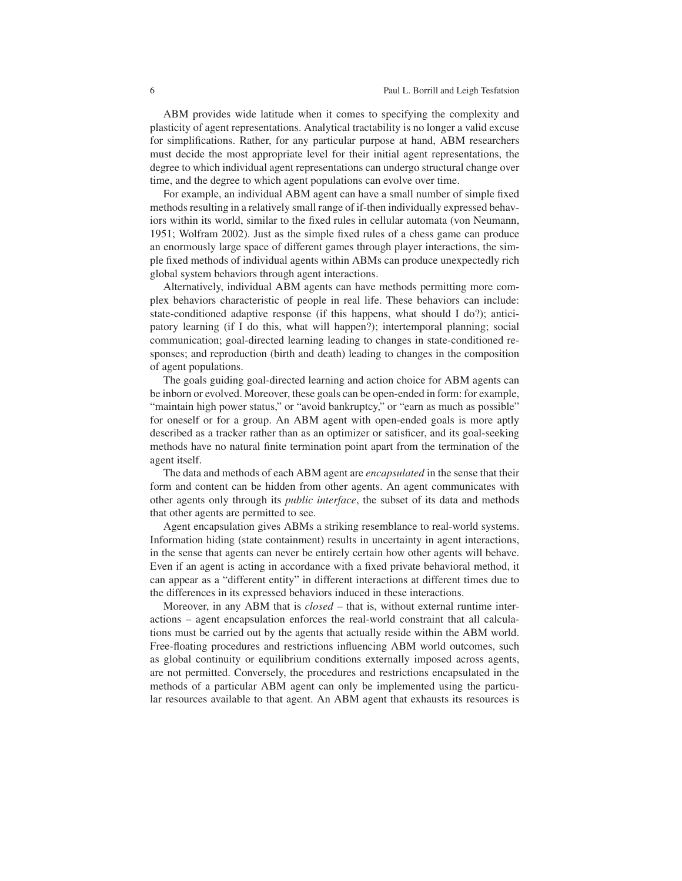ABM provides wide latitude when it comes to specifying the complexity and plasticity of agent representations. Analytical tractability is no longer a valid excuse for simplifications. Rather, for any particular purpose at hand, ABM researchers must decide the most appropriate level for their initial agent representations, the degree to which individual agent representations can undergo structural change over time, and the degree to which agent populations can evolve over time.

For example, an individual ABM agent can have a small number of simple fixed methods resulting in a relatively small range of if-then individually expressed behaviors within its world, similar to the fixed rules in cellular automata (von Neumann, 1951; Wolfram 2002). Just as the simple fixed rules of a chess game can produce an enormously large space of different games through player interactions, the simple fixed methods of individual agents within ABMs can produce unexpectedly rich global system behaviors through agent interactions.

Alternatively, individual ABM agents can have methods permitting more complex behaviors characteristic of people in real life. These behaviors can include: state-conditioned adaptive response (if this happens, what should I do?); anticipatory learning (if I do this, what will happen?); intertemporal planning; social communication; goal-directed learning leading to changes in state-conditioned responses; and reproduction (birth and death) leading to changes in the composition of agent populations.

The goals guiding goal-directed learning and action choice for ABM agents can be inborn or evolved. Moreover, these goals can be open-ended in form: for example, "maintain high power status," or "avoid bankruptcy," or "earn as much as possible" for oneself or for a group. An ABM agent with open-ended goals is more aptly described as a tracker rather than as an optimizer or satisficer, and its goal-seeking methods have no natural finite termination point apart from the termination of the agent itself.

The data and methods of each ABM agent are *encapsulated* in the sense that their form and content can be hidden from other agents. An agent communicates with other agents only through its *public interface*, the subset of its data and methods that other agents are permitted to see.

Agent encapsulation gives ABMs a striking resemblance to real-world systems. Information hiding (state containment) results in uncertainty in agent interactions, in the sense that agents can never be entirely certain how other agents will behave. Even if an agent is acting in accordance with a fixed private behavioral method, it can appear as a "different entity" in different interactions at different times due to the differences in its expressed behaviors induced in these interactions.

Moreover, in any ABM that is *closed* – that is, without external runtime interactions – agent encapsulation enforces the real-world constraint that all calculations must be carried out by the agents that actually reside within the ABM world. Free-floating procedures and restrictions influencing ABM world outcomes, such as global continuity or equilibrium conditions externally imposed across agents, are not permitted. Conversely, the procedures and restrictions encapsulated in the methods of a particular ABM agent can only be implemented using the particular resources available to that agent. An ABM agent that exhausts its resources is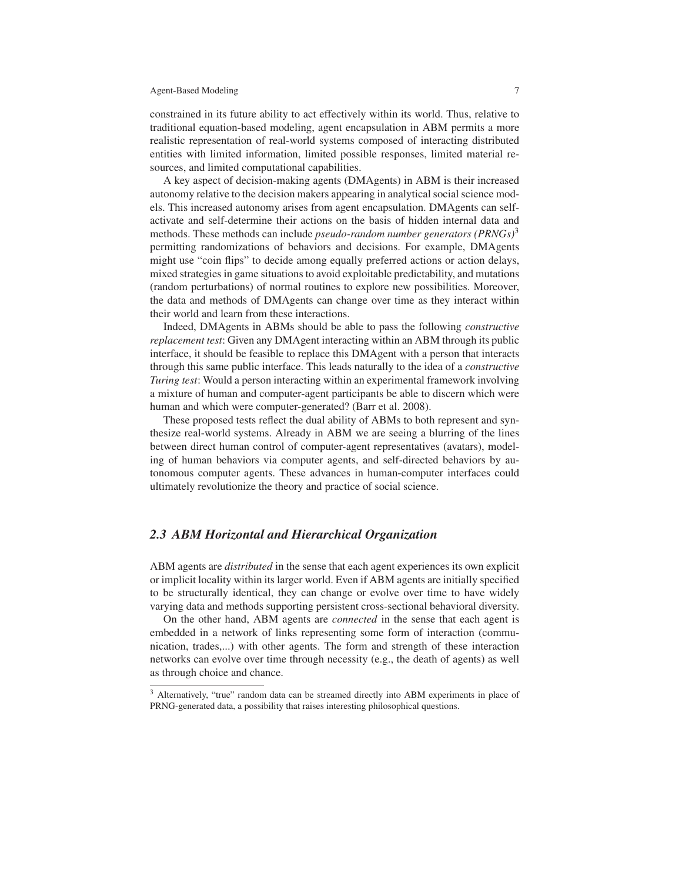constrained in its future ability to act effectively within its world. Thus, relative to traditional equation-based modeling, agent encapsulation in ABM permits a more realistic representation of real-world systems composed of interacting distributed entities with limited information, limited possible responses, limited material resources, and limited computational capabilities.

A key aspect of decision-making agents (DMAgents) in ABM is their increased autonomy relative to the decision makers appearing in analytical social science models. This increased autonomy arises from agent encapsulation. DMAgents can selfactivate and self-determine their actions on the basis of hidden internal data and methods. These methods can include *pseudo-random number generators (PRNGs)*<sup>3</sup> permitting randomizations of behaviors and decisions. For example, DMAgents might use "coin flips" to decide among equally preferred actions or action delays, mixed strategies in game situations to avoid exploitable predictability, and mutations (random perturbations) of normal routines to explore new possibilities. Moreover, the data and methods of DMAgents can change over time as they interact within their world and learn from these interactions.

Indeed, DMAgents in ABMs should be able to pass the following *constructive replacement test*: Given any DMAgent interacting within an ABM through its public interface, it should be feasible to replace this DMAgent with a person that interacts through this same public interface. This leads naturally to the idea of a *constructive Turing test*: Would a person interacting within an experimental framework involving a mixture of human and computer-agent participants be able to discern which were human and which were computer-generated? (Barr et al. 2008).

These proposed tests reflect the dual ability of ABMs to both represent and synthesize real-world systems. Already in ABM we are seeing a blurring of the lines between direct human control of computer-agent representatives (avatars), modeling of human behaviors via computer agents, and self-directed behaviors by autonomous computer agents. These advances in human-computer interfaces could ultimately revolutionize the theory and practice of social science.

## *2.3 ABM Horizontal and Hierarchical Organization*

ABM agents are *distributed* in the sense that each agent experiences its own explicit or implicit locality within its larger world. Even if ABM agents are initially specified to be structurally identical, they can change or evolve over time to have widely varying data and methods supporting persistent cross-sectional behavioral diversity.

On the other hand, ABM agents are *connected* in the sense that each agent is embedded in a network of links representing some form of interaction (communication, trades,...) with other agents. The form and strength of these interaction networks can evolve over time through necessity (e.g., the death of agents) as well as through choice and chance.

<sup>&</sup>lt;sup>3</sup> Alternatively, "true" random data can be streamed directly into ABM experiments in place of PRNG-generated data, a possibility that raises interesting philosophical questions.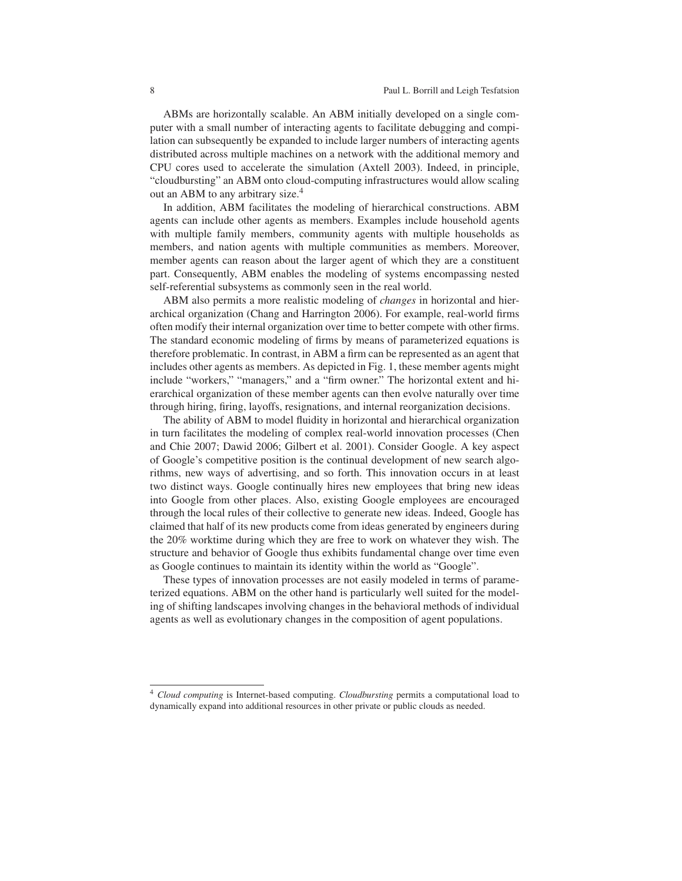ABMs are horizontally scalable. An ABM initially developed on a single computer with a small number of interacting agents to facilitate debugging and compilation can subsequently be expanded to include larger numbers of interacting agents distributed across multiple machines on a network with the additional memory and CPU cores used to accelerate the simulation (Axtell 2003). Indeed, in principle, "cloudbursting" an ABM onto cloud-computing infrastructures would allow scaling out an ABM to any arbitrary size.<sup>4</sup>

In addition, ABM facilitates the modeling of hierarchical constructions. ABM agents can include other agents as members. Examples include household agents with multiple family members, community agents with multiple households as members, and nation agents with multiple communities as members. Moreover, member agents can reason about the larger agent of which they are a constituent part. Consequently, ABM enables the modeling of systems encompassing nested self-referential subsystems as commonly seen in the real world.

ABM also permits a more realistic modeling of *changes* in horizontal and hierarchical organization (Chang and Harrington 2006). For example, real-world firms often modify their internal organization over time to better compete with other firms. The standard economic modeling of firms by means of parameterized equations is therefore problematic. In contrast, in ABM a firm can be represented as an agent that includes other agents as members. As depicted in Fig. 1, these member agents might include "workers," "managers," and a "firm owner." The horizontal extent and hierarchical organization of these member agents can then evolve naturally over time through hiring, firing, layoffs, resignations, and internal reorganization decisions.

The ability of ABM to model fluidity in horizontal and hierarchical organization in turn facilitates the modeling of complex real-world innovation processes (Chen and Chie 2007; Dawid 2006; Gilbert et al. 2001). Consider Google. A key aspect of Google's competitive position is the continual development of new search algorithms, new ways of advertising, and so forth. This innovation occurs in at least two distinct ways. Google continually hires new employees that bring new ideas into Google from other places. Also, existing Google employees are encouraged through the local rules of their collective to generate new ideas. Indeed, Google has claimed that half of its new products come from ideas generated by engineers during the 20% worktime during which they are free to work on whatever they wish. The structure and behavior of Google thus exhibits fundamental change over time even as Google continues to maintain its identity within the world as "Google".

These types of innovation processes are not easily modeled in terms of parameterized equations. ABM on the other hand is particularly well suited for the modeling of shifting landscapes involving changes in the behavioral methods of individual agents as well as evolutionary changes in the composition of agent populations.

<sup>4</sup> *Cloud computing* is Internet-based computing. *Cloudbursting* permits a computational load to dynamically expand into additional resources in other private or public clouds as needed.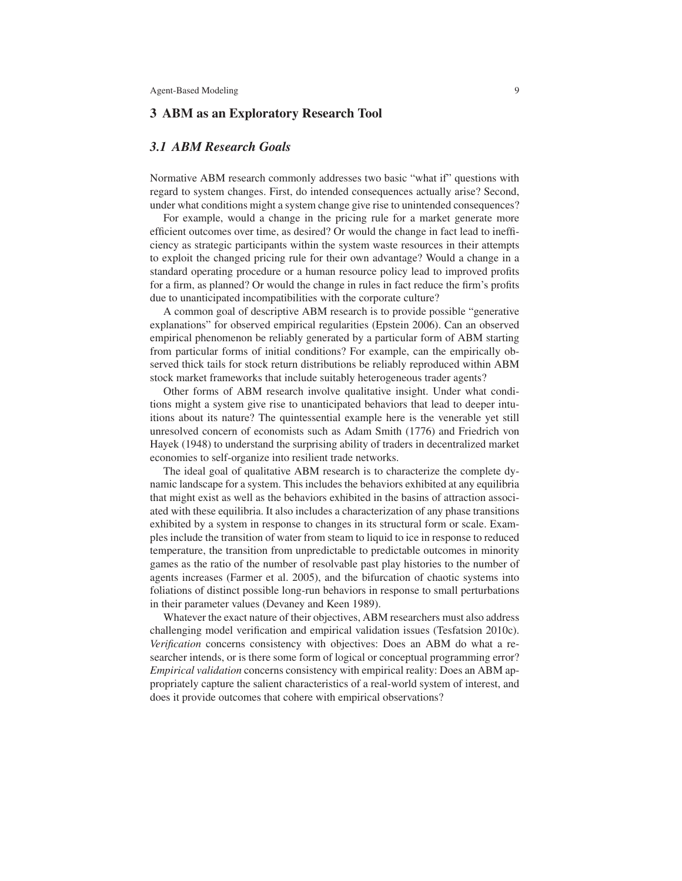### 3 ABM as an Exploratory Research Tool

### *3.1 ABM Research Goals*

Normative ABM research commonly addresses two basic "what if" questions with regard to system changes. First, do intended consequences actually arise? Second, under what conditions might a system change give rise to unintended consequences?

For example, would a change in the pricing rule for a market generate more efficient outcomes over time, as desired? Or would the change in fact lead to inefficiency as strategic participants within the system waste resources in their attempts to exploit the changed pricing rule for their own advantage? Would a change in a standard operating procedure or a human resource policy lead to improved profits for a firm, as planned? Or would the change in rules in fact reduce the firm's profits due to unanticipated incompatibilities with the corporate culture?

A common goal of descriptive ABM research is to provide possible "generative explanations" for observed empirical regularities (Epstein 2006). Can an observed empirical phenomenon be reliably generated by a particular form of ABM starting from particular forms of initial conditions? For example, can the empirically observed thick tails for stock return distributions be reliably reproduced within ABM stock market frameworks that include suitably heterogeneous trader agents?

Other forms of ABM research involve qualitative insight. Under what conditions might a system give rise to unanticipated behaviors that lead to deeper intuitions about its nature? The quintessential example here is the venerable yet still unresolved concern of economists such as Adam Smith (1776) and Friedrich von Hayek (1948) to understand the surprising ability of traders in decentralized market economies to self-organize into resilient trade networks.

The ideal goal of qualitative ABM research is to characterize the complete dynamic landscape for a system. This includes the behaviors exhibited at any equilibria that might exist as well as the behaviors exhibited in the basins of attraction associated with these equilibria. It also includes a characterization of any phase transitions exhibited by a system in response to changes in its structural form or scale. Examples include the transition of water from steam to liquid to ice in response to reduced temperature, the transition from unpredictable to predictable outcomes in minority games as the ratio of the number of resolvable past play histories to the number of agents increases (Farmer et al. 2005), and the bifurcation of chaotic systems into foliations of distinct possible long-run behaviors in response to small perturbations in their parameter values (Devaney and Keen 1989).

Whatever the exact nature of their objectives, ABM researchers must also address challenging model verification and empirical validation issues (Tesfatsion 2010c). *Verification* concerns consistency with objectives: Does an ABM do what a researcher intends, or is there some form of logical or conceptual programming error? *Empirical validation* concerns consistency with empirical reality: Does an ABM appropriately capture the salient characteristics of a real-world system of interest, and does it provide outcomes that cohere with empirical observations?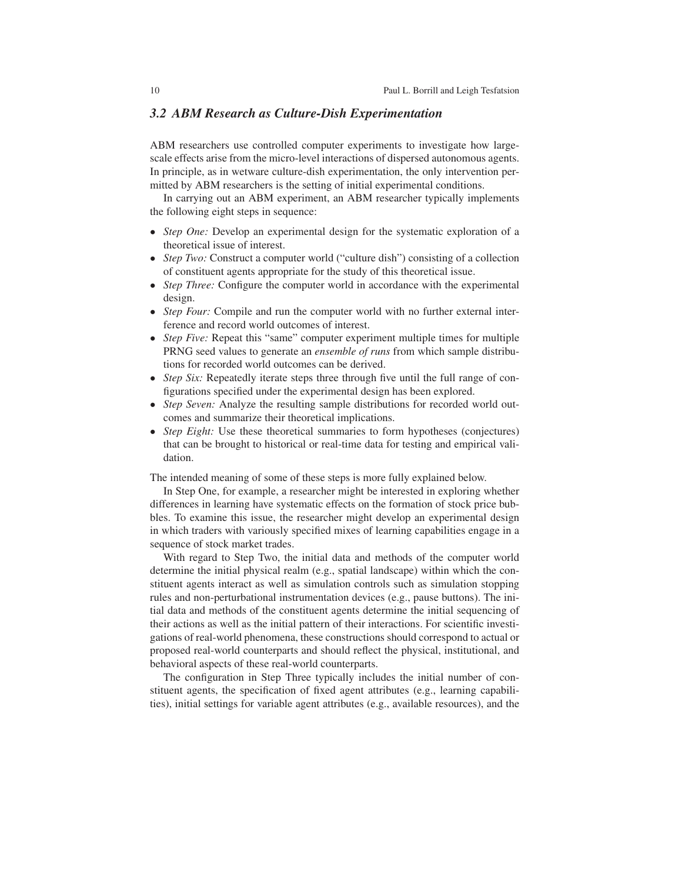### *3.2 ABM Research as Culture-Dish Experimentation*

ABM researchers use controlled computer experiments to investigate how largescale effects arise from the micro-level interactions of dispersed autonomous agents. In principle, as in wetware culture-dish experimentation, the only intervention permitted by ABM researchers is the setting of initial experimental conditions.

In carrying out an ABM experiment, an ABM researcher typically implements the following eight steps in sequence:

- *Step One:* Develop an experimental design for the systematic exploration of a theoretical issue of interest.
- *Step Two:* Construct a computer world ("culture dish") consisting of a collection of constituent agents appropriate for the study of this theoretical issue.
- *Step Three:* Configure the computer world in accordance with the experimental design.
- *Step Four:* Compile and run the computer world with no further external interference and record world outcomes of interest.
- *Step Five:* Repeat this "same" computer experiment multiple times for multiple PRNG seed values to generate an *ensemble of runs* from which sample distributions for recorded world outcomes can be derived.
- *Step Six:* Repeatedly iterate steps three through five until the full range of configurations specified under the experimental design has been explored.
- *Step Seven:* Analyze the resulting sample distributions for recorded world outcomes and summarize their theoretical implications.
- *Step Eight:* Use these theoretical summaries to form hypotheses (conjectures) that can be brought to historical or real-time data for testing and empirical validation.

The intended meaning of some of these steps is more fully explained below.

In Step One, for example, a researcher might be interested in exploring whether differences in learning have systematic effects on the formation of stock price bubbles. To examine this issue, the researcher might develop an experimental design in which traders with variously specified mixes of learning capabilities engage in a sequence of stock market trades.

With regard to Step Two, the initial data and methods of the computer world determine the initial physical realm (e.g., spatial landscape) within which the constituent agents interact as well as simulation controls such as simulation stopping rules and non-perturbational instrumentation devices (e.g., pause buttons). The initial data and methods of the constituent agents determine the initial sequencing of their actions as well as the initial pattern of their interactions. For scientific investigations of real-world phenomena, these constructions should correspond to actual or proposed real-world counterparts and should reflect the physical, institutional, and behavioral aspects of these real-world counterparts.

The configuration in Step Three typically includes the initial number of constituent agents, the specification of fixed agent attributes (e.g., learning capabilities), initial settings for variable agent attributes (e.g., available resources), and the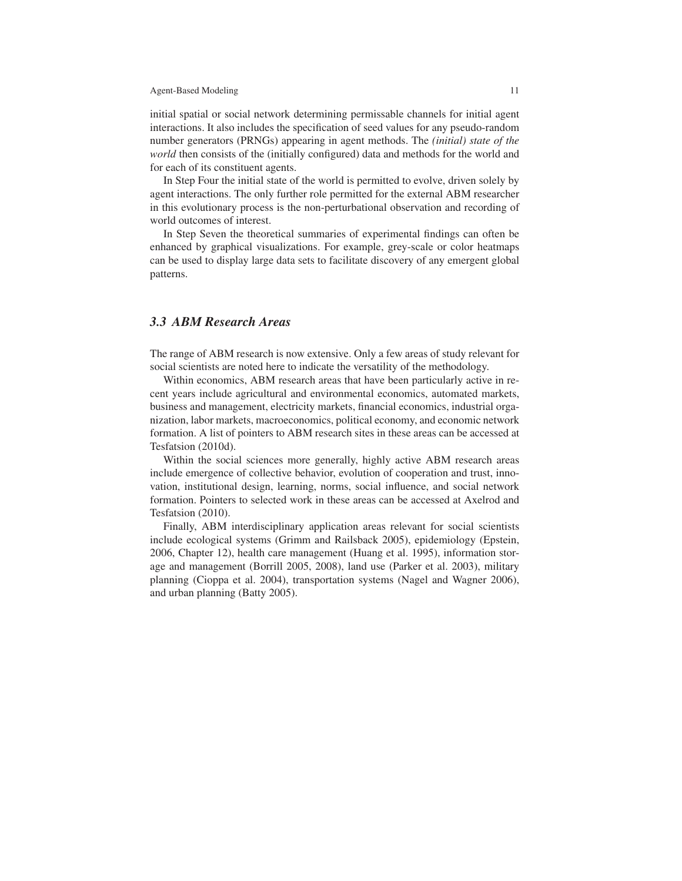initial spatial or social network determining permissable channels for initial agent interactions. It also includes the specification of seed values for any pseudo-random number generators (PRNGs) appearing in agent methods. The *(initial) state of the world* then consists of the (initially configured) data and methods for the world and for each of its constituent agents.

In Step Four the initial state of the world is permitted to evolve, driven solely by agent interactions. The only further role permitted for the external ABM researcher in this evolutionary process is the non-perturbational observation and recording of world outcomes of interest.

In Step Seven the theoretical summaries of experimental findings can often be enhanced by graphical visualizations. For example, grey-scale or color heatmaps can be used to display large data sets to facilitate discovery of any emergent global patterns.

### *3.3 ABM Research Areas*

The range of ABM research is now extensive. Only a few areas of study relevant for social scientists are noted here to indicate the versatility of the methodology.

Within economics, ABM research areas that have been particularly active in recent years include agricultural and environmental economics, automated markets, business and management, electricity markets, financial economics, industrial organization, labor markets, macroeconomics, political economy, and economic network formation. A list of pointers to ABM research sites in these areas can be accessed at Tesfatsion (2010d).

Within the social sciences more generally, highly active ABM research areas include emergence of collective behavior, evolution of cooperation and trust, innovation, institutional design, learning, norms, social influence, and social network formation. Pointers to selected work in these areas can be accessed at Axelrod and Tesfatsion (2010).

Finally, ABM interdisciplinary application areas relevant for social scientists include ecological systems (Grimm and Railsback 2005), epidemiology (Epstein, 2006, Chapter 12), health care management (Huang et al. 1995), information storage and management (Borrill 2005, 2008), land use (Parker et al. 2003), military planning (Cioppa et al. 2004), transportation systems (Nagel and Wagner 2006), and urban planning (Batty 2005).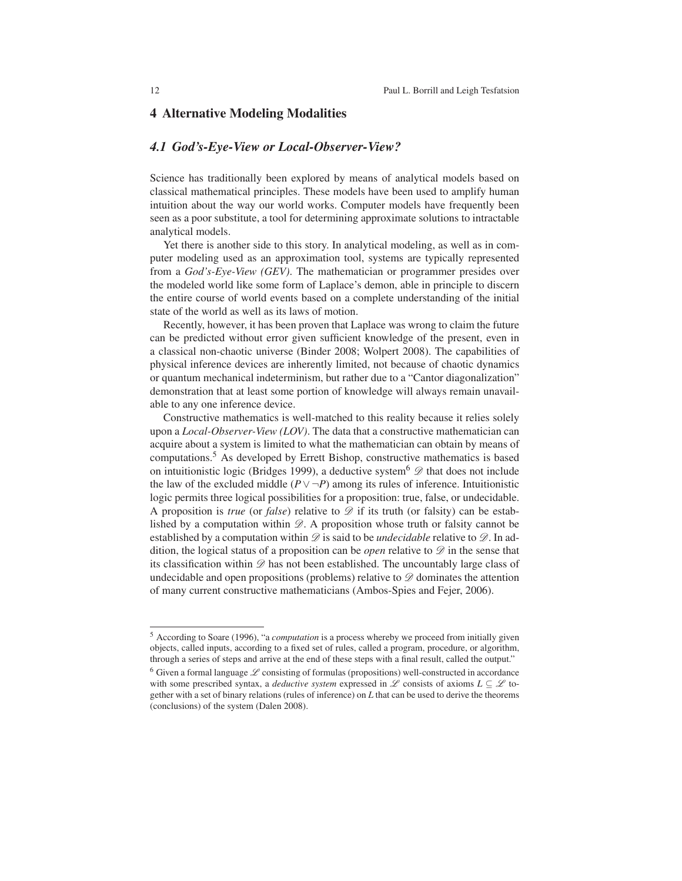### 4 Alternative Modeling Modalities

### *4.1 God's-Eye-View or Local-Observer-View?*

Science has traditionally been explored by means of analytical models based on classical mathematical principles. These models have been used to amplify human intuition about the way our world works. Computer models have frequently been seen as a poor substitute, a tool for determining approximate solutions to intractable analytical models.

Yet there is another side to this story. In analytical modeling, as well as in computer modeling used as an approximation tool, systems are typically represented from a *God's-Eye-View (GEV)*. The mathematician or programmer presides over the modeled world like some form of Laplace's demon, able in principle to discern the entire course of world events based on a complete understanding of the initial state of the world as well as its laws of motion.

Recently, however, it has been proven that Laplace was wrong to claim the future can be predicted without error given sufficient knowledge of the present, even in a classical non-chaotic universe (Binder 2008; Wolpert 2008). The capabilities of physical inference devices are inherently limited, not because of chaotic dynamics or quantum mechanical indeterminism, but rather due to a "Cantor diagonalization" demonstration that at least some portion of knowledge will always remain unavailable to any one inference device.

Constructive mathematics is well-matched to this reality because it relies solely upon a *Local-Observer-View (LOV)*. The data that a constructive mathematician can acquire about a system is limited to what the mathematician can obtain by means of computations.5 As developed by Errett Bishop, constructive mathematics is based on intuitionistic logic (Bridges 1999), a deductive system<sup>6</sup>  $\mathscr{D}$  that does not include the law of the excluded middle  $(P \vee \neg P)$  among its rules of inference. Intuitionistic logic permits three logical possibilities for a proposition: true, false, or undecidable. A proposition is *true* (or *false*) relative to  $\mathscr D$  if its truth (or falsity) can be established by a computation within  $\mathscr{D}$ . A proposition whose truth or falsity cannot be established by a computation within  $\mathscr D$  is said to be *undecidable* relative to  $\mathscr D$ . In addition, the logical status of a proposition can be *open* relative to  $\mathscr{D}$  in the sense that its classification within  $\mathscr D$  has not been established. The uncountably large class of undecidable and open propositions (problems) relative to  $\mathscr{D}$  dominates the attention of many current constructive mathematicians (Ambos-Spies and Fejer, 2006).

<sup>5</sup> According to Soare (1996), "a *computation* is a process whereby we proceed from initially given objects, called inputs, according to a fixed set of rules, called a program, procedure, or algorithm, through a series of steps and arrive at the end of these steps with a final result, called the output."

 $6$  Given a formal language  $\mathscr L$  consisting of formulas (propositions) well-constructed in accordance with some prescribed syntax, a *deductive system* expressed in L consists of axioms  $L \subseteq \mathcal{L}$  together with a set of binary relations (rules of inference) on *L* that can be used to derive the theorems (conclusions) of the system (Dalen 2008).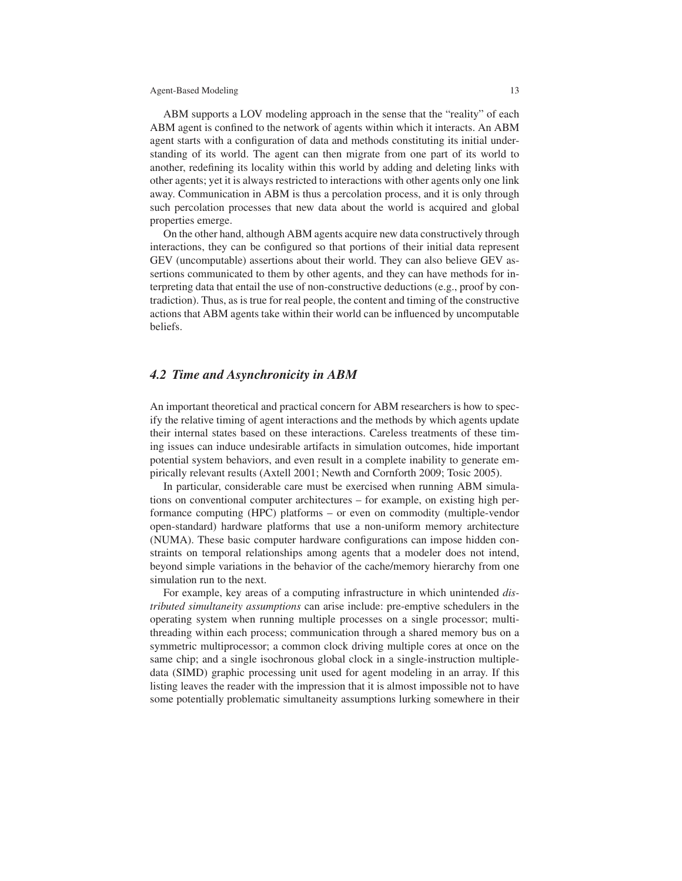ABM supports a LOV modeling approach in the sense that the "reality" of each ABM agent is confined to the network of agents within which it interacts. An ABM agent starts with a configuration of data and methods constituting its initial understanding of its world. The agent can then migrate from one part of its world to another, redefining its locality within this world by adding and deleting links with other agents; yet it is always restricted to interactions with other agents only one link away. Communication in ABM is thus a percolation process, and it is only through such percolation processes that new data about the world is acquired and global properties emerge.

On the other hand, although ABM agents acquire new data constructively through interactions, they can be configured so that portions of their initial data represent GEV (uncomputable) assertions about their world. They can also believe GEV assertions communicated to them by other agents, and they can have methods for interpreting data that entail the use of non-constructive deductions (e.g., proof by contradiction). Thus, as is true for real people, the content and timing of the constructive actions that ABM agents take within their world can be influenced by uncomputable beliefs.

### *4.2 Time and Asynchronicity in ABM*

An important theoretical and practical concern for ABM researchers is how to specify the relative timing of agent interactions and the methods by which agents update their internal states based on these interactions. Careless treatments of these timing issues can induce undesirable artifacts in simulation outcomes, hide important potential system behaviors, and even result in a complete inability to generate empirically relevant results (Axtell 2001; Newth and Cornforth 2009; Tosic 2005).

In particular, considerable care must be exercised when running ABM simulations on conventional computer architectures – for example, on existing high performance computing (HPC) platforms – or even on commodity (multiple-vendor open-standard) hardware platforms that use a non-uniform memory architecture (NUMA). These basic computer hardware configurations can impose hidden constraints on temporal relationships among agents that a modeler does not intend, beyond simple variations in the behavior of the cache/memory hierarchy from one simulation run to the next.

For example, key areas of a computing infrastructure in which unintended *distributed simultaneity assumptions* can arise include: pre-emptive schedulers in the operating system when running multiple processes on a single processor; multithreading within each process; communication through a shared memory bus on a symmetric multiprocessor; a common clock driving multiple cores at once on the same chip; and a single isochronous global clock in a single-instruction multipledata (SIMD) graphic processing unit used for agent modeling in an array. If this listing leaves the reader with the impression that it is almost impossible not to have some potentially problematic simultaneity assumptions lurking somewhere in their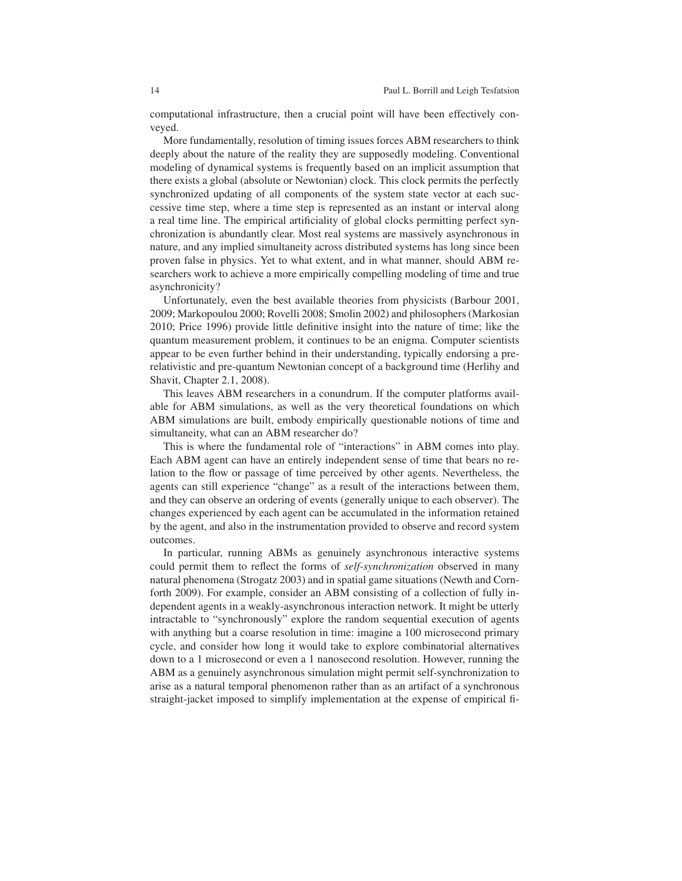computational infrastructure, then a crucial point will have been effectively conveyed.

More fundamentally, resolution of timing issues forces ABM researchers to think deeply about the nature of the reality they are supposedly modeling. Conventional modeling of dynamical systems is frequently based on an implicit assumption that there exists a global (absolute or Newtonian) clock. This clock permits the perfectly synchronized updating of all components of the system state vector at each successive time step, where a time step is represented as an instant or interval along a real time line. The empirical artificiality of global clocks permitting perfect synchronization is abundantly clear. Most real systems are massively asynchronous in nature, and any implied simultaneity across distributed systems has long since been proven false in physics. Yet to what extent, and in what manner, should ABM researchers work to achieve a more empirically compelling modeling of time and true asynchronicity?

Unfortunately, even the best available theories from physicists (Barbour 2001, 2009; Markopoulou 2000; Rovelli 2008; Smolin 2002) and philosophers (Markosian 2010; Price 1996) provide little definitive insight into the nature of time; like the quantum measurement problem, it continues to be an enigma. Computer scientists appear to be even further behind in their understanding, typically endorsing a prerelativistic and pre-quantum Newtonian concept of a background time (Herlihy and Shavit, Chapter 2.1, 2008).

This leaves ABM researchers in a conundrum. If the computer platforms available for ABM simulations, as well as the very theoretical foundations on which ABM simulations are built, embody empirically questionable notions of time and simultaneity, what can an ABM researcher do?

This is where the fundamental role of "interactions" in ABM comes into play. Each ABM agent can have an entirely independent sense of time that bears no relation to the flow or passage of time perceived by other agents. Nevertheless, the agents can still experience "change" as a result of the interactions between them, and they can observe an ordering of events (generally unique to each observer). The changes experienced by each agent can be accumulated in the information retained by the agent, and also in the instrumentation provided to observe and record system outcomes.

In particular, running ABMs as genuinely asynchronous interactive systems could permit them to reflect the forms of *self-synchronization* observed in many natural phenomena (Strogatz 2003) and in spatial game situations (Newth and Cornforth 2009). For example, consider an ABM consisting of a collection of fully independent agents in a weakly-asynchronous interaction network. It might be utterly intractable to "synchronously" explore the random sequential execution of agents with anything but a coarse resolution in time: imagine a 100 microsecond primary cycle, and consider how long it would take to explore combinatorial alternatives down to a 1 microsecond or even a 1 nanosecond resolution. However, running the ABM as a genuinely asynchronous simulation might permit self-synchronization to arise as a natural temporal phenomenon rather than as an artifact of a synchronous straight-jacket imposed to simplify implementation at the expense of empirical fi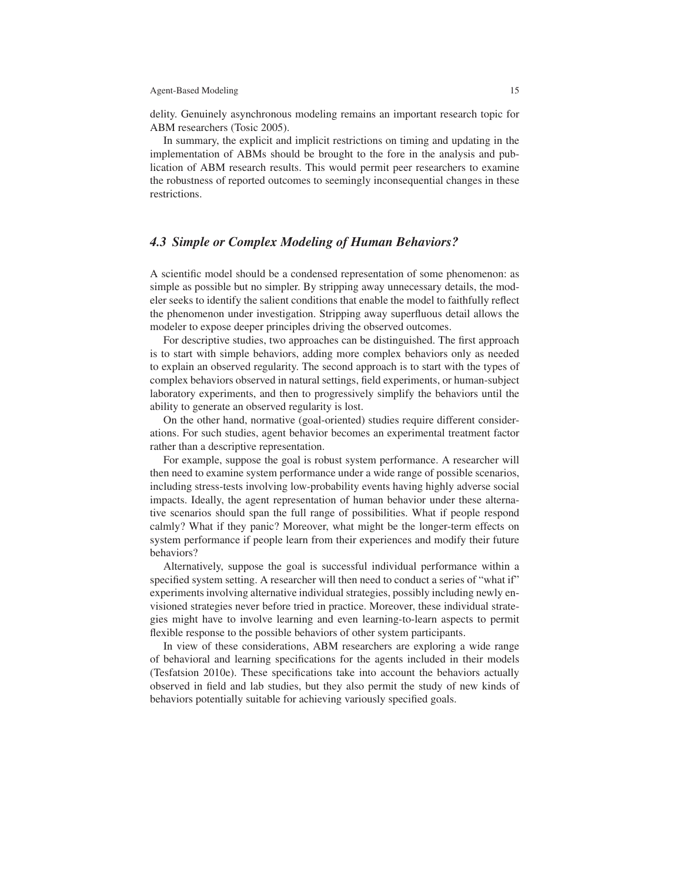delity. Genuinely asynchronous modeling remains an important research topic for ABM researchers (Tosic 2005).

In summary, the explicit and implicit restrictions on timing and updating in the implementation of ABMs should be brought to the fore in the analysis and publication of ABM research results. This would permit peer researchers to examine the robustness of reported outcomes to seemingly inconsequential changes in these restrictions.

### *4.3 Simple or Complex Modeling of Human Behaviors?*

A scientific model should be a condensed representation of some phenomenon: as simple as possible but no simpler. By stripping away unnecessary details, the modeler seeks to identify the salient conditions that enable the model to faithfully reflect the phenomenon under investigation. Stripping away superfluous detail allows the modeler to expose deeper principles driving the observed outcomes.

For descriptive studies, two approaches can be distinguished. The first approach is to start with simple behaviors, adding more complex behaviors only as needed to explain an observed regularity. The second approach is to start with the types of complex behaviors observed in natural settings, field experiments, or human-subject laboratory experiments, and then to progressively simplify the behaviors until the ability to generate an observed regularity is lost.

On the other hand, normative (goal-oriented) studies require different considerations. For such studies, agent behavior becomes an experimental treatment factor rather than a descriptive representation.

For example, suppose the goal is robust system performance. A researcher will then need to examine system performance under a wide range of possible scenarios, including stress-tests involving low-probability events having highly adverse social impacts. Ideally, the agent representation of human behavior under these alternative scenarios should span the full range of possibilities. What if people respond calmly? What if they panic? Moreover, what might be the longer-term effects on system performance if people learn from their experiences and modify their future behaviors?

Alternatively, suppose the goal is successful individual performance within a specified system setting. A researcher will then need to conduct a series of "what if" experiments involving alternative individual strategies, possibly including newly envisioned strategies never before tried in practice. Moreover, these individual strategies might have to involve learning and even learning-to-learn aspects to permit flexible response to the possible behaviors of other system participants.

In view of these considerations, ABM researchers are exploring a wide range of behavioral and learning specifications for the agents included in their models (Tesfatsion 2010e). These specifications take into account the behaviors actually observed in field and lab studies, but they also permit the study of new kinds of behaviors potentially suitable for achieving variously specified goals.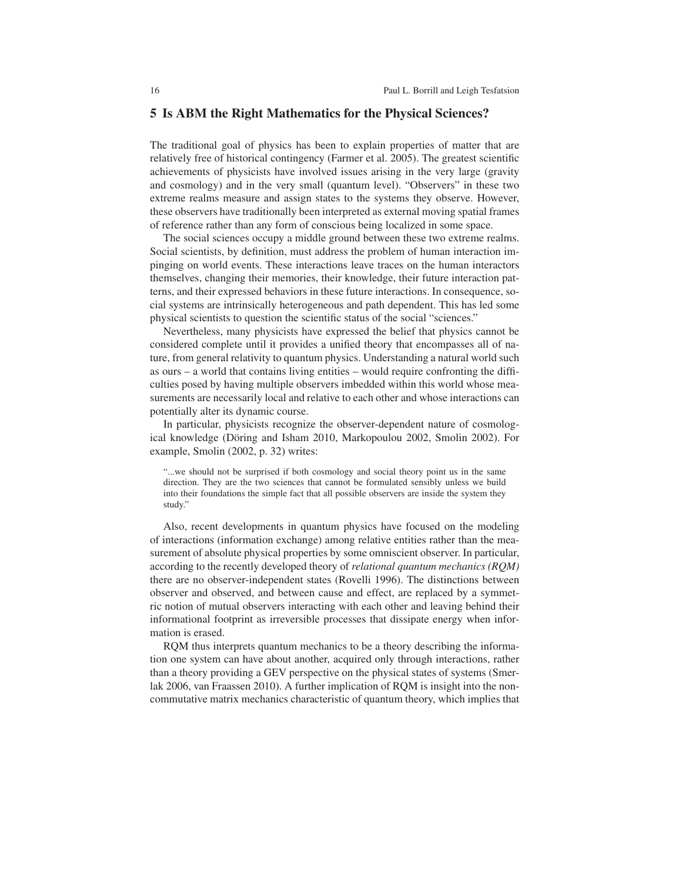### 5 Is ABM the Right Mathematics for the Physical Sciences?

The traditional goal of physics has been to explain properties of matter that are relatively free of historical contingency (Farmer et al. 2005). The greatest scientific achievements of physicists have involved issues arising in the very large (gravity and cosmology) and in the very small (quantum level). "Observers" in these two extreme realms measure and assign states to the systems they observe. However, these observers have traditionally been interpreted as external moving spatial frames of reference rather than any form of conscious being localized in some space.

The social sciences occupy a middle ground between these two extreme realms. Social scientists, by definition, must address the problem of human interaction impinging on world events. These interactions leave traces on the human interactors themselves, changing their memories, their knowledge, their future interaction patterns, and their expressed behaviors in these future interactions. In consequence, social systems are intrinsically heterogeneous and path dependent. This has led some physical scientists to question the scientific status of the social "sciences."

Nevertheless, many physicists have expressed the belief that physics cannot be considered complete until it provides a unified theory that encompasses all of nature, from general relativity to quantum physics. Understanding a natural world such as ours – a world that contains living entities – would require confronting the difficulties posed by having multiple observers imbedded within this world whose measurements are necessarily local and relative to each other and whose interactions can potentially alter its dynamic course.

In particular, physicists recognize the observer-dependent nature of cosmological knowledge (Döring and Isham 2010, Markopoulou 2002, Smolin 2002). For example, Smolin (2002, p. 32) writes:

"...we should not be surprised if both cosmology and social theory point us in the same direction. They are the two sciences that cannot be formulated sensibly unless we build into their foundations the simple fact that all possible observers are inside the system they study."

Also, recent developments in quantum physics have focused on the modeling of interactions (information exchange) among relative entities rather than the measurement of absolute physical properties by some omniscient observer. In particular, according to the recently developed theory of *relational quantum mechanics (RQM)* there are no observer-independent states (Rovelli 1996). The distinctions between observer and observed, and between cause and effect, are replaced by a symmetric notion of mutual observers interacting with each other and leaving behind their informational footprint as irreversible processes that dissipate energy when information is erased.

RQM thus interprets quantum mechanics to be a theory describing the information one system can have about another, acquired only through interactions, rather than a theory providing a GEV perspective on the physical states of systems (Smerlak 2006, van Fraassen 2010). A further implication of RQM is insight into the noncommutative matrix mechanics characteristic of quantum theory, which implies that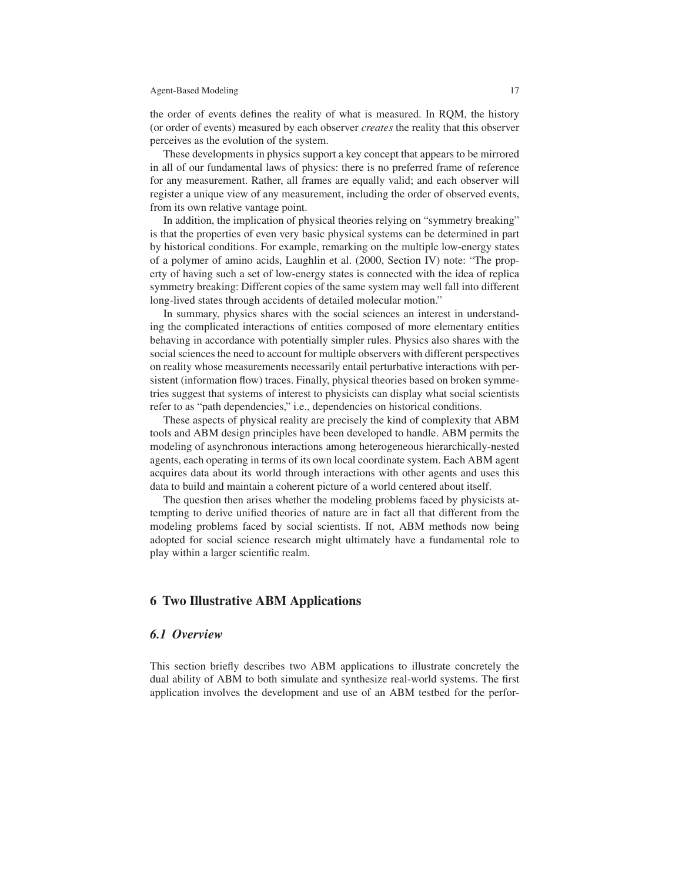the order of events defines the reality of what is measured. In RQM, the history (or order of events) measured by each observer *creates* the reality that this observer perceives as the evolution of the system.

These developments in physics support a key concept that appears to be mirrored in all of our fundamental laws of physics: there is no preferred frame of reference for any measurement. Rather, all frames are equally valid; and each observer will register a unique view of any measurement, including the order of observed events, from its own relative vantage point.

In addition, the implication of physical theories relying on "symmetry breaking" is that the properties of even very basic physical systems can be determined in part by historical conditions. For example, remarking on the multiple low-energy states of a polymer of amino acids, Laughlin et al. (2000, Section IV) note: "The property of having such a set of low-energy states is connected with the idea of replica symmetry breaking: Different copies of the same system may well fall into different long-lived states through accidents of detailed molecular motion."

In summary, physics shares with the social sciences an interest in understanding the complicated interactions of entities composed of more elementary entities behaving in accordance with potentially simpler rules. Physics also shares with the social sciences the need to account for multiple observers with different perspectives on reality whose measurements necessarily entail perturbative interactions with persistent (information flow) traces. Finally, physical theories based on broken symmetries suggest that systems of interest to physicists can display what social scientists refer to as "path dependencies," i.e., dependencies on historical conditions.

These aspects of physical reality are precisely the kind of complexity that ABM tools and ABM design principles have been developed to handle. ABM permits the modeling of asynchronous interactions among heterogeneous hierarchically-nested agents, each operating in terms of its own local coordinate system. Each ABM agent acquires data about its world through interactions with other agents and uses this data to build and maintain a coherent picture of a world centered about itself.

The question then arises whether the modeling problems faced by physicists attempting to derive unified theories of nature are in fact all that different from the modeling problems faced by social scientists. If not, ABM methods now being adopted for social science research might ultimately have a fundamental role to play within a larger scientific realm.

### 6 Two Illustrative ABM Applications

### *6.1 Overview*

This section briefly describes two ABM applications to illustrate concretely the dual ability of ABM to both simulate and synthesize real-world systems. The first application involves the development and use of an ABM testbed for the perfor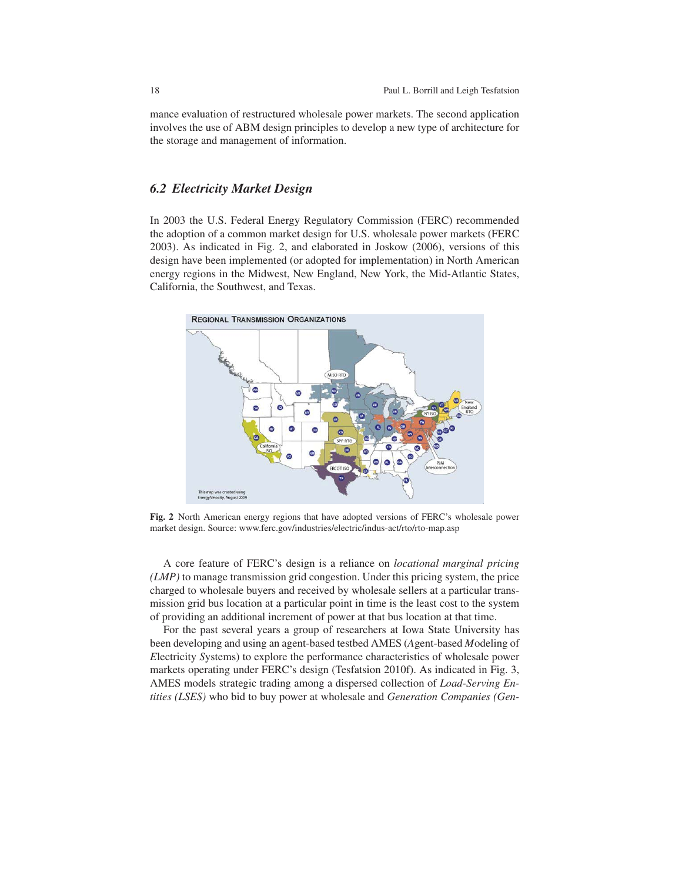mance evaluation of restructured wholesale power markets. The second application involves the use of ABM design principles to develop a new type of architecture for the storage and management of information.

### *6.2 Electricity Market Design*

In 2003 the U.S. Federal Energy Regulatory Commission (FERC) recommended the adoption of a common market design for U.S. wholesale power markets (FERC 2003). As indicated in Fig. 2, and elaborated in Joskow (2006), versions of this design have been implemented (or adopted for implementation) in North American energy regions in the Midwest, New England, New York, the Mid-Atlantic States, California, the Southwest, and Texas.



Fig. 2 North American energy regions that have adopted versions of FERC's wholesale power market design. Source: www.ferc.gov/industries/electric/indus-act/rto/rto-map.asp

A core feature of FERC's design is a reliance on *locational marginal pricing (LMP)* to manage transmission grid congestion. Under this pricing system, the price charged to wholesale buyers and received by wholesale sellers at a particular transmission grid bus location at a particular point in time is the least cost to the system of providing an additional increment of power at that bus location at that time.

For the past several years a group of researchers at Iowa State University has been developing and using an agent-based testbed AMES (*A*gent-based *M*odeling of *E*lectricity *S*ystems) to explore the performance characteristics of wholesale power markets operating under FERC's design (Tesfatsion 2010f). As indicated in Fig. 3, AMES models strategic trading among a dispersed collection of *Load-Serving Entities (LSES)* who bid to buy power at wholesale and *Generation Companies (Gen-*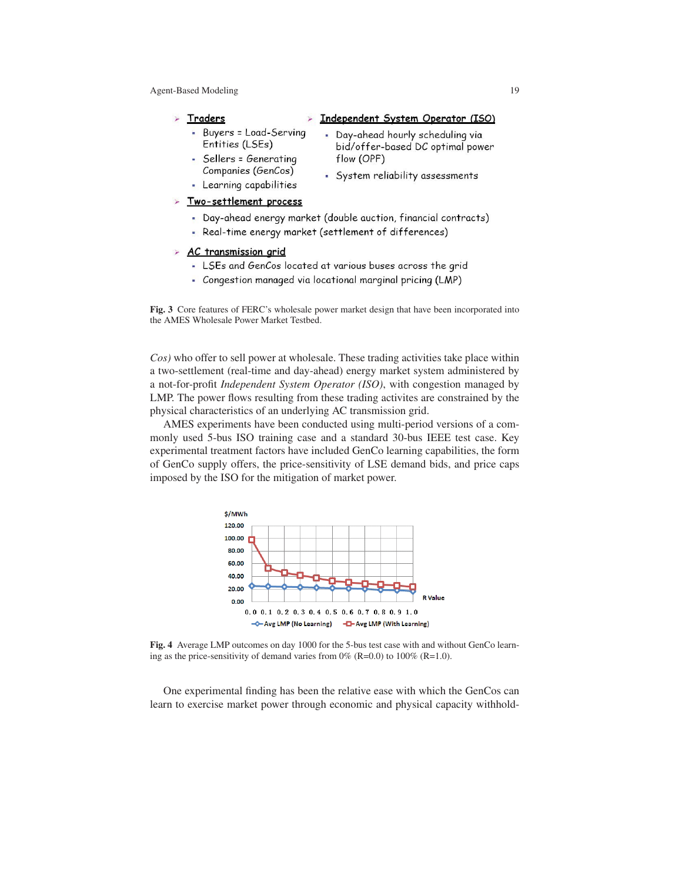- Independent System Operator (ISO) Traders
	- Buyers = Load-Serving · Day-ahead hourly scheduling via Entities (LSEs)
- Companies (GenCos) - Learning capabilities
- bid/offer-based DC optimal power - Sellers = Generating flow (OPF)
	- · System reliability assessments
- > Two-settlement process
	- Day-ahead energy market (double auction, financial contracts)
		- Real-time energy market (settlement of differences)

#### > AC transmission grid

- LSEs and GenCos located at various buses across the grid
- Congestion managed via locational marginal pricing (LMP)

Fig. 3 Core features of FERC's wholesale power market design that have been incorporated into the AMES Wholesale Power Market Testbed.

*Cos)* who offer to sell power at wholesale. These trading activities take place within a two-settlement (real-time and day-ahead) energy market system administered by a not-for-profit *Independent System Operator (ISO)*, with congestion managed by LMP. The power flows resulting from these trading activites are constrained by the physical characteristics of an underlying AC transmission grid.

AMES experiments have been conducted using multi-period versions of a commonly used 5-bus ISO training case and a standard 30-bus IEEE test case. Key experimental treatment factors have included GenCo learning capabilities, the form of GenCo supply offers, the price-sensitivity of LSE demand bids, and price caps imposed by the ISO for the mitigation of market power.



Fig. 4 Average LMP outcomes on day 1000 for the 5-bus test case with and without GenCo learning as the price-sensitivity of demand varies from  $0\%$  (R=0.0) to  $100\%$  (R=1.0).

One experimental finding has been the relative ease with which the GenCos can learn to exercise market power through economic and physical capacity withhold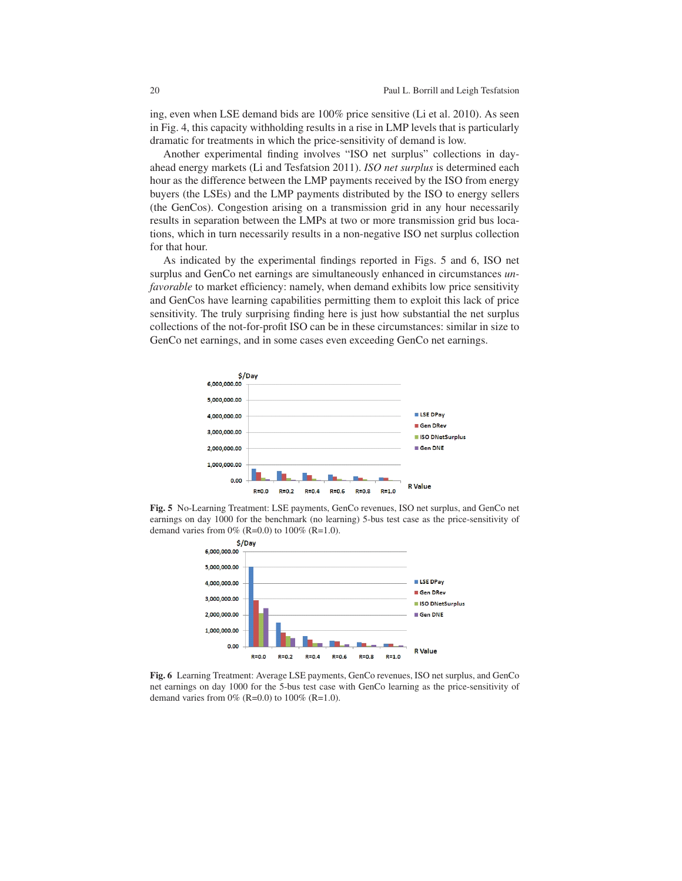ing, even when LSE demand bids are 100% price sensitive (Li et al. 2010). As seen in Fig. 4, this capacity withholding results in a rise in LMP levels that is particularly dramatic for treatments in which the price-sensitivity of demand is low.

Another experimental finding involves "ISO net surplus" collections in dayahead energy markets (Li and Tesfatsion 2011). *ISO net surplus* is determined each hour as the difference between the LMP payments received by the ISO from energy buyers (the LSEs) and the LMP payments distributed by the ISO to energy sellers (the GenCos). Congestion arising on a transmission grid in any hour necessarily results in separation between the LMPs at two or more transmission grid bus locations, which in turn necessarily results in a non-negative ISO net surplus collection for that hour.

As indicated by the experimental findings reported in Figs. 5 and 6, ISO net surplus and GenCo net earnings are simultaneously enhanced in circumstances *unfavorable* to market efficiency: namely, when demand exhibits low price sensitivity and GenCos have learning capabilities permitting them to exploit this lack of price sensitivity. The truly surprising finding here is just how substantial the net surplus collections of the not-for-profit ISO can be in these circumstances: similar in size to GenCo net earnings, and in some cases even exceeding GenCo net earnings.



Fig. 5 No-Learning Treatment: LSE payments, GenCo revenues, ISO net surplus, and GenCo net earnings on day 1000 for the benchmark (no learning) 5-bus test case as the price-sensitivity of demand varies from  $0\%$  (R=0.0) to  $100\%$  (R=1.0).



Fig. 6 Learning Treatment: Average LSE payments, GenCo revenues, ISO net surplus, and GenCo net earnings on day 1000 for the 5-bus test case with GenCo learning as the price-sensitivity of demand varies from  $0\%$  (R=0.0) to  $100\%$  (R=1.0).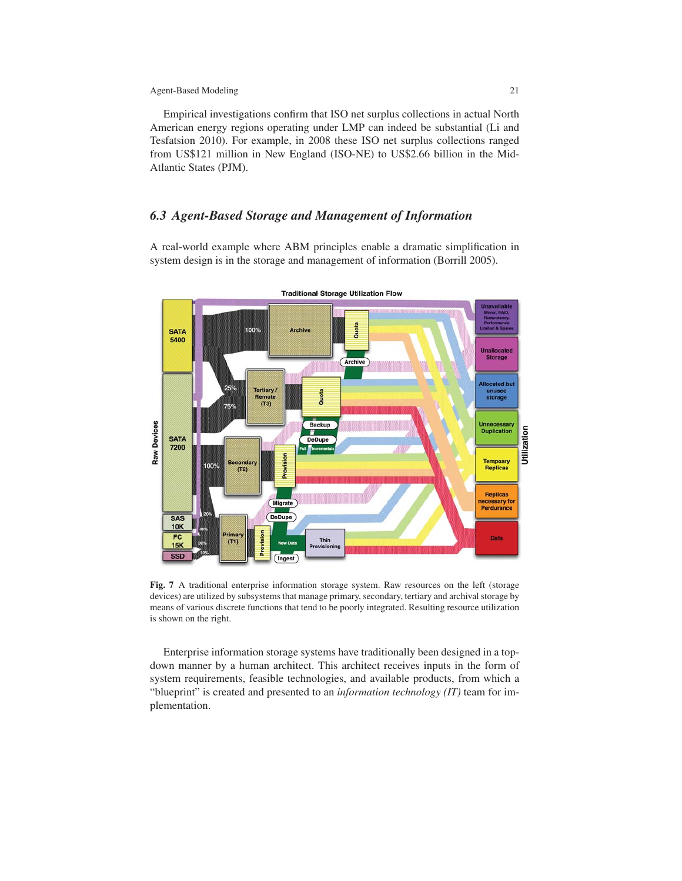Empirical investigations confirm that ISO net surplus collections in actual North American energy regions operating under LMP can indeed be substantial (Li and Tesfatsion 2010). For example, in 2008 these ISO net surplus collections ranged from US\$121 million in New England (ISO-NE) to US\$2.66 billion in the Mid-Atlantic States (PJM).

## *6.3 Agent-Based Storage and Management of Information*

A real-world example where ABM principles enable a dramatic simplification in system design is in the storage and management of information (Borrill 2005).



Fig. 7 A traditional enterprise information storage system. Raw resources on the left (storage devices) are utilized by subsystems that manage primary, secondary, tertiary and archival storage by means of various discrete functions that tend to be poorly integrated. Resulting resource utilization is shown on the right.

Enterprise information storage systems have traditionally been designed in a topdown manner by a human architect. This architect receives inputs in the form of system requirements, feasible technologies, and available products, from which a "blueprint" is created and presented to an *information technology (IT)* team for implementation.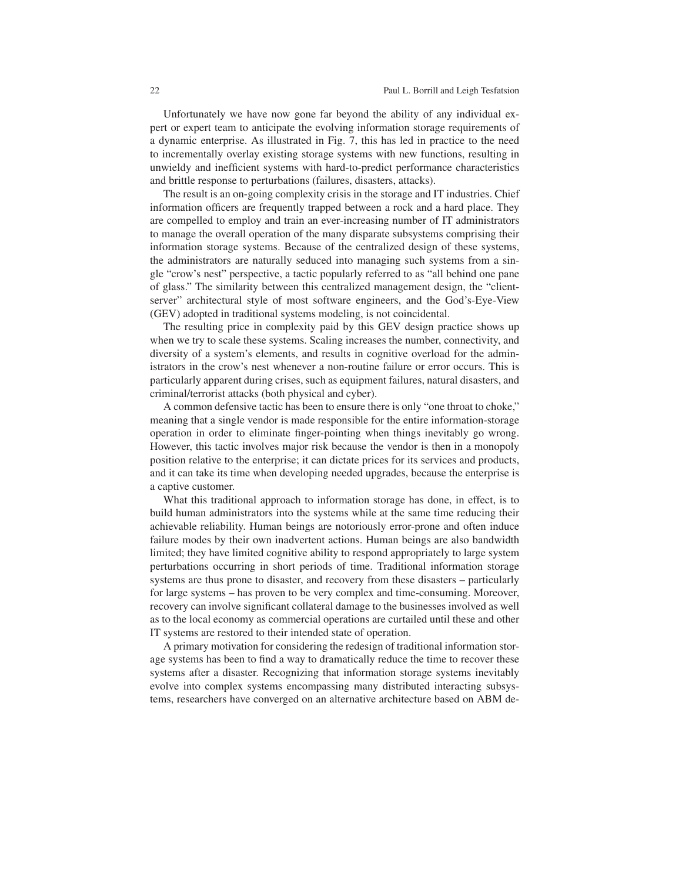Unfortunately we have now gone far beyond the ability of any individual expert or expert team to anticipate the evolving information storage requirements of a dynamic enterprise. As illustrated in Fig. 7, this has led in practice to the need to incrementally overlay existing storage systems with new functions, resulting in unwieldy and inefficient systems with hard-to-predict performance characteristics and brittle response to perturbations (failures, disasters, attacks).

The result is an on-going complexity crisis in the storage and IT industries. Chief information officers are frequently trapped between a rock and a hard place. They are compelled to employ and train an ever-increasing number of IT administrators to manage the overall operation of the many disparate subsystems comprising their information storage systems. Because of the centralized design of these systems, the administrators are naturally seduced into managing such systems from a single "crow's nest" perspective, a tactic popularly referred to as "all behind one pane of glass." The similarity between this centralized management design, the "clientserver" architectural style of most software engineers, and the God's-Eye-View (GEV) adopted in traditional systems modeling, is not coincidental.

The resulting price in complexity paid by this GEV design practice shows up when we try to scale these systems. Scaling increases the number, connectivity, and diversity of a system's elements, and results in cognitive overload for the administrators in the crow's nest whenever a non-routine failure or error occurs. This is particularly apparent during crises, such as equipment failures, natural disasters, and criminal/terrorist attacks (both physical and cyber).

A common defensive tactic has been to ensure there is only "one throat to choke," meaning that a single vendor is made responsible for the entire information-storage operation in order to eliminate finger-pointing when things inevitably go wrong. However, this tactic involves major risk because the vendor is then in a monopoly position relative to the enterprise; it can dictate prices for its services and products, and it can take its time when developing needed upgrades, because the enterprise is a captive customer.

What this traditional approach to information storage has done, in effect, is to build human administrators into the systems while at the same time reducing their achievable reliability. Human beings are notoriously error-prone and often induce failure modes by their own inadvertent actions. Human beings are also bandwidth limited; they have limited cognitive ability to respond appropriately to large system perturbations occurring in short periods of time. Traditional information storage systems are thus prone to disaster, and recovery from these disasters – particularly for large systems – has proven to be very complex and time-consuming. Moreover, recovery can involve significant collateral damage to the businesses involved as well as to the local economy as commercial operations are curtailed until these and other IT systems are restored to their intended state of operation.

A primary motivation for considering the redesign of traditional information storage systems has been to find a way to dramatically reduce the time to recover these systems after a disaster. Recognizing that information storage systems inevitably evolve into complex systems encompassing many distributed interacting subsystems, researchers have converged on an alternative architecture based on ABM de-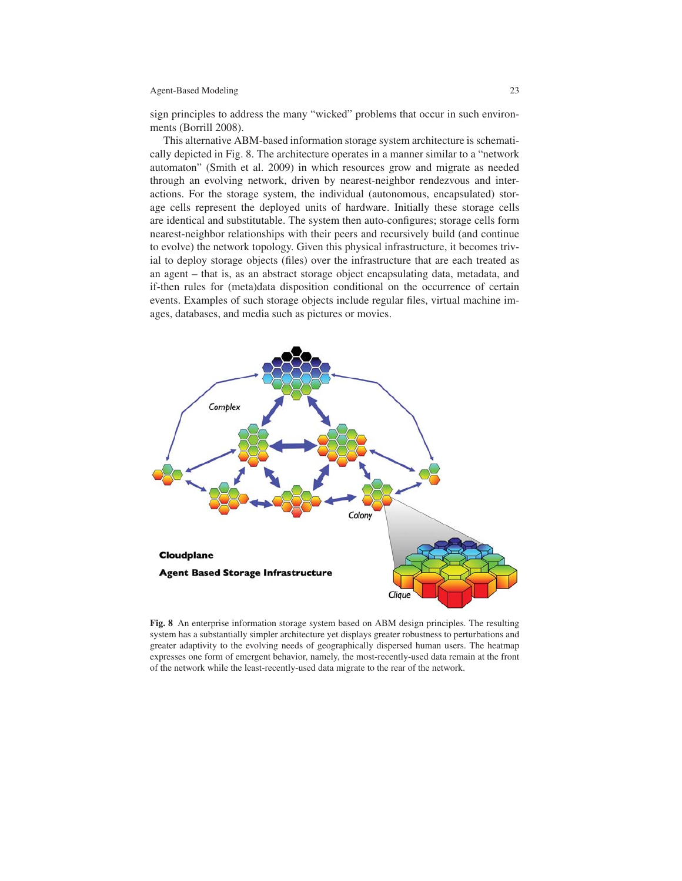sign principles to address the many "wicked" problems that occur in such environments (Borrill 2008).

This alternative ABM-based information storage system architecture is schematically depicted in Fig. 8. The architecture operates in a manner similar to a "network automaton" (Smith et al. 2009) in which resources grow and migrate as needed through an evolving network, driven by nearest-neighbor rendezvous and interactions. For the storage system, the individual (autonomous, encapsulated) storage cells represent the deployed units of hardware. Initially these storage cells are identical and substitutable. The system then auto-configures; storage cells form nearest-neighbor relationships with their peers and recursively build (and continue to evolve) the network topology. Given this physical infrastructure, it becomes trivial to deploy storage objects (files) over the infrastructure that are each treated as an agent – that is, as an abstract storage object encapsulating data, metadata, and if-then rules for (meta)data disposition conditional on the occurrence of certain events. Examples of such storage objects include regular files, virtual machine images, databases, and media such as pictures or movies.



Fig. 8 An enterprise information storage system based on ABM design principles. The resulting system has a substantially simpler architecture yet displays greater robustness to perturbations and greater adaptivity to the evolving needs of geographically dispersed human users. The heatmap expresses one form of emergent behavior, namely, the most-recently-used data remain at the front of the network while the least-recently-used data migrate to the rear of the network.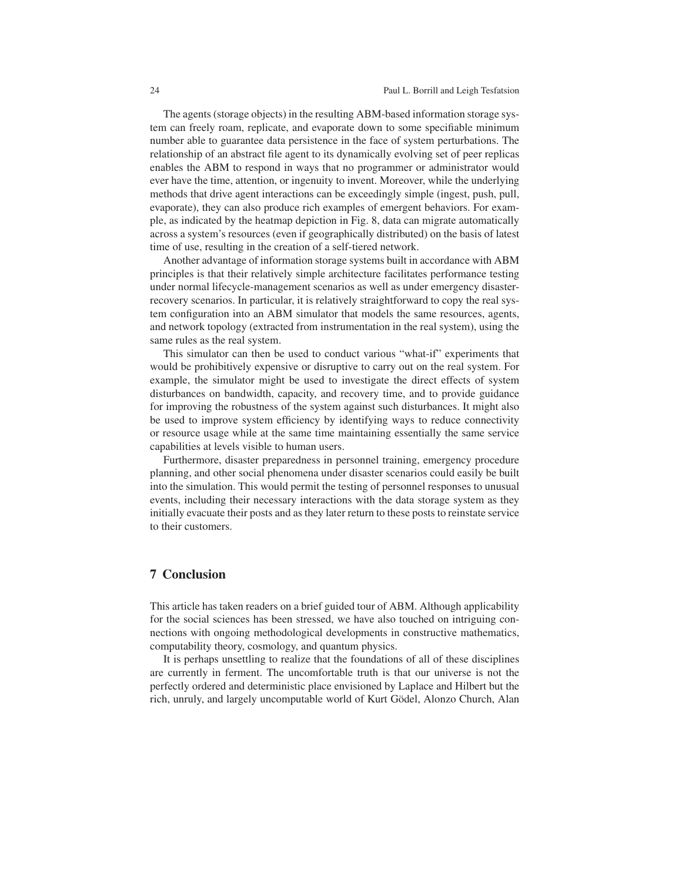The agents (storage objects) in the resulting ABM-based information storage system can freely roam, replicate, and evaporate down to some specifiable minimum number able to guarantee data persistence in the face of system perturbations. The relationship of an abstract file agent to its dynamically evolving set of peer replicas enables the ABM to respond in ways that no programmer or administrator would ever have the time, attention, or ingenuity to invent. Moreover, while the underlying methods that drive agent interactions can be exceedingly simple (ingest, push, pull, evaporate), they can also produce rich examples of emergent behaviors. For example, as indicated by the heatmap depiction in Fig. 8, data can migrate automatically across a system's resources (even if geographically distributed) on the basis of latest time of use, resulting in the creation of a self-tiered network.

Another advantage of information storage systems built in accordance with ABM principles is that their relatively simple architecture facilitates performance testing under normal lifecycle-management scenarios as well as under emergency disasterrecovery scenarios. In particular, it is relatively straightforward to copy the real system configuration into an ABM simulator that models the same resources, agents, and network topology (extracted from instrumentation in the real system), using the same rules as the real system.

This simulator can then be used to conduct various "what-if" experiments that would be prohibitively expensive or disruptive to carry out on the real system. For example, the simulator might be used to investigate the direct effects of system disturbances on bandwidth, capacity, and recovery time, and to provide guidance for improving the robustness of the system against such disturbances. It might also be used to improve system efficiency by identifying ways to reduce connectivity or resource usage while at the same time maintaining essentially the same service capabilities at levels visible to human users.

Furthermore, disaster preparedness in personnel training, emergency procedure planning, and other social phenomena under disaster scenarios could easily be built into the simulation. This would permit the testing of personnel responses to unusual events, including their necessary interactions with the data storage system as they initially evacuate their posts and as they later return to these posts to reinstate service to their customers.

# 7 Conclusion

This article has taken readers on a brief guided tour of ABM. Although applicability for the social sciences has been stressed, we have also touched on intriguing connections with ongoing methodological developments in constructive mathematics, computability theory, cosmology, and quantum physics.

It is perhaps unsettling to realize that the foundations of all of these disciplines are currently in ferment. The uncomfortable truth is that our universe is not the perfectly ordered and deterministic place envisioned by Laplace and Hilbert but the rich, unruly, and largely uncomputable world of Kurt Gödel, Alonzo Church, Alan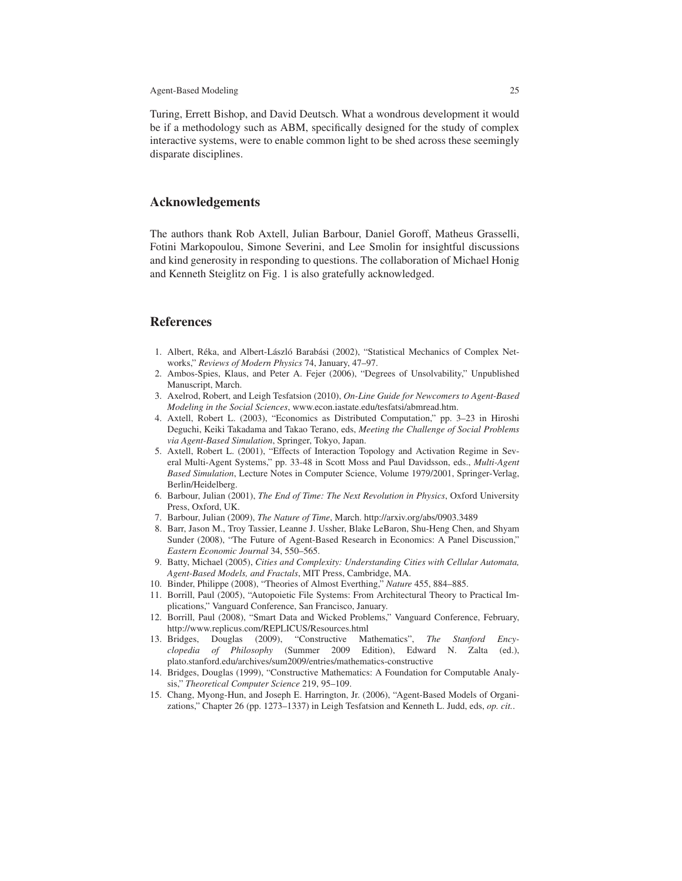Turing, Errett Bishop, and David Deutsch. What a wondrous development it would be if a methodology such as ABM, specifically designed for the study of complex interactive systems, were to enable common light to be shed across these seemingly disparate disciplines.

### Acknowledgements

The authors thank Rob Axtell, Julian Barbour, Daniel Goroff, Matheus Grasselli, Fotini Markopoulou, Simone Severini, and Lee Smolin for insightful discussions and kind generosity in responding to questions. The collaboration of Michael Honig and Kenneth Steiglitz on Fig. 1 is also gratefully acknowledged.

### References

- 1. Albert, Réka, and Albert-László Barabási (2002), "Statistical Mechanics of Complex Networks," *Reviews of Modern Physics* 74, January, 47–97.
- 2. Ambos-Spies, Klaus, and Peter A. Fejer (2006), "Degrees of Unsolvability," Unpublished Manuscript, March.
- 3. Axelrod, Robert, and Leigh Tesfatsion (2010), *On-Line Guide for Newcomers to Agent-Based Modeling in the Social Sciences*, www.econ.iastate.edu/tesfatsi/abmread.htm.
- 4. Axtell, Robert L. (2003), "Economics as Distributed Computation," pp. 3–23 in Hiroshi Deguchi, Keiki Takadama and Takao Terano, eds, *Meeting the Challenge of Social Problems via Agent-Based Simulation*, Springer, Tokyo, Japan.
- 5. Axtell, Robert L. (2001), "Effects of Interaction Topology and Activation Regime in Several Multi-Agent Systems," pp. 33-48 in Scott Moss and Paul Davidsson, eds., *Multi-Agent Based Simulation*, Lecture Notes in Computer Science, Volume 1979/2001, Springer-Verlag, Berlin/Heidelberg.
- 6. Barbour, Julian (2001), *The End of Time: The Next Revolution in Physics*, Oxford University Press, Oxford, UK.
- 7. Barbour, Julian (2009), *The Nature of Time*, March. http://arxiv.org/abs/0903.3489
- 8. Barr, Jason M., Troy Tassier, Leanne J. Ussher, Blake LeBaron, Shu-Heng Chen, and Shyam Sunder (2008), "The Future of Agent-Based Research in Economics: A Panel Discussion," *Eastern Economic Journal* 34, 550–565.
- 9. Batty, Michael (2005), *Cities and Complexity: Understanding Cities with Cellular Automata, Agent-Based Models, and Fractals*, MIT Press, Cambridge, MA.
- 10. Binder, Philippe (2008), "Theories of Almost Everthing," *Nature* 455, 884–885.
- 11. Borrill, Paul (2005), "Autopoietic File Systems: From Architectural Theory to Practical Implications," Vanguard Conference, San Francisco, January.
- 12. Borrill, Paul (2008), "Smart Data and Wicked Problems," Vanguard Conference, February, http://www.replicus.com/REPLICUS/Resources.html
- 13. Bridges, Douglas (2009), "Constructive Mathematics", *The Stanford Encyclopedia of Philosophy* (Summer 2009 Edition), Edward N. Zalta (ed.), plato.stanford.edu/archives/sum2009/entries/mathematics-constructive
- 14. Bridges, Douglas (1999), "Constructive Mathematics: A Foundation for Computable Analysis," *Theoretical Computer Science* 219, 95–109.
- 15. Chang, Myong-Hun, and Joseph E. Harrington, Jr. (2006), "Agent-Based Models of Organizations," Chapter 26 (pp. 1273–1337) in Leigh Tesfatsion and Kenneth L. Judd, eds, *op. cit.*.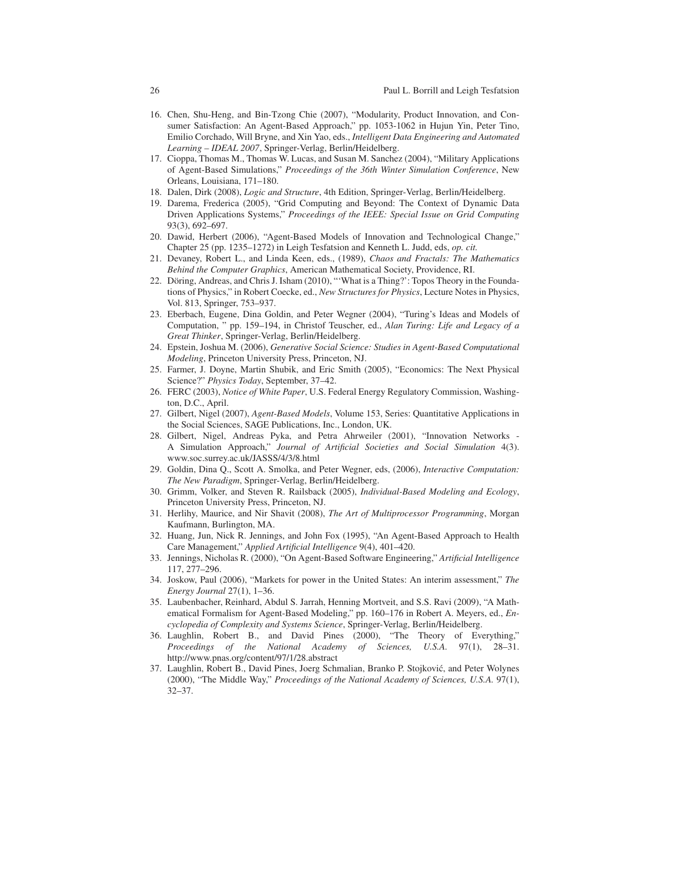- 16. Chen, Shu-Heng, and Bin-Tzong Chie (2007), "Modularity, Product Innovation, and Consumer Satisfaction: An Agent-Based Approach," pp. 1053-1062 in Hujun Yin, Peter Tino, Emilio Corchado, Will Bryne, and Xin Yao, eds., *Intelligent Data Engineering and Automated Learning – IDEAL 2007*, Springer-Verlag, Berlin/Heidelberg.
- 17. Cioppa, Thomas M., Thomas W. Lucas, and Susan M. Sanchez (2004), "Military Applications of Agent-Based Simulations," *Proceedings of the 36th Winter Simulation Conference*, New Orleans, Louisiana, 171–180.
- 18. Dalen, Dirk (2008), *Logic and Structure*, 4th Edition, Springer-Verlag, Berlin/Heidelberg.
- 19. Darema, Frederica (2005), "Grid Computing and Beyond: The Context of Dynamic Data Driven Applications Systems," *Proceedings of the IEEE: Special Issue on Grid Computing* 93(3), 692–697.
- 20. Dawid, Herbert (2006), "Agent-Based Models of Innovation and Technological Change," Chapter 25 (pp. 1235–1272) in Leigh Tesfatsion and Kenneth L. Judd, eds, *op. cit.*
- 21. Devaney, Robert L., and Linda Keen, eds., (1989), *Chaos and Fractals: The Mathematics Behind the Computer Graphics*, American Mathematical Society, Providence, RI.
- 22. Döring, Andreas, and Chris J. Isham (2010), "'What is a Thing?': Topos Theory in the Foundations of Physics," in Robert Coecke, ed., *New Structures for Physics*, Lecture Notes in Physics, Vol. 813, Springer, 753–937.
- 23. Eberbach, Eugene, Dina Goldin, and Peter Wegner (2004), "Turing's Ideas and Models of Computation, " pp. 159–194, in Christof Teuscher, ed., *Alan Turing: Life and Legacy of a Great Thinker*, Springer-Verlag, Berlin/Heidelberg.
- 24. Epstein, Joshua M. (2006), *Generative Social Science: Studies in Agent-Based Computational Modeling*, Princeton University Press, Princeton, NJ.
- 25. Farmer, J. Doyne, Martin Shubik, and Eric Smith (2005), "Economics: The Next Physical Science?" *Physics Today*, September, 37–42.
- 26. FERC (2003), *Notice of White Paper*, U.S. Federal Energy Regulatory Commission, Washington, D.C., April.
- 27. Gilbert, Nigel (2007), *Agent-Based Models*, Volume 153, Series: Quantitative Applications in the Social Sciences, SAGE Publications, Inc., London, UK.
- 28. Gilbert, Nigel, Andreas Pyka, and Petra Ahrweiler (2001), "Innovation Networks A Simulation Approach," *Journal of Artificial Societies and Social Simulation* 4(3). www.soc.surrey.ac.uk/JASSS/4/3/8.html
- 29. Goldin, Dina Q., Scott A. Smolka, and Peter Wegner, eds, (2006), *Interactive Computation: The New Paradigm*, Springer-Verlag, Berlin/Heidelberg.
- 30. Grimm, Volker, and Steven R. Railsback (2005), *Individual-Based Modeling and Ecology*, Princeton University Press, Princeton, NJ.
- 31. Herlihy, Maurice, and Nir Shavit (2008), *The Art of Multiprocessor Programming*, Morgan Kaufmann, Burlington, MA.
- 32. Huang, Jun, Nick R. Jennings, and John Fox (1995), "An Agent-Based Approach to Health Care Management," *Applied Artificial Intelligence* 9(4), 401–420.
- 33. Jennings, Nicholas R. (2000), "On Agent-Based Software Engineering," *Artificial Intelligence* 117, 277–296.
- 34. Joskow, Paul (2006), "Markets for power in the United States: An interim assessment," *The Energy Journal* 27(1), 1–36.
- 35. Laubenbacher, Reinhard, Abdul S. Jarrah, Henning Mortveit, and S.S. Ravi (2009), "A Mathematical Formalism for Agent-Based Modeling," pp. 160–176 in Robert A. Meyers, ed., *Encyclopedia of Complexity and Systems Science*, Springer-Verlag, Berlin/Heidelberg.
- 36. Laughlin, Robert B., and David Pines (2000), "The Theory of Everything," *Proceedings of the National Academy of Sciences, U.S.A.* 97(1), 28–31. http://www.pnas.org/content/97/1/28.abstract
- 37. Laughlin, Robert B., David Pines, Joerg Schmalian, Branko P. Stojkovic, and Peter Wolynes ´ (2000), "The Middle Way," *Proceedings of the National Academy of Sciences, U.S.A.* 97(1), 32–37.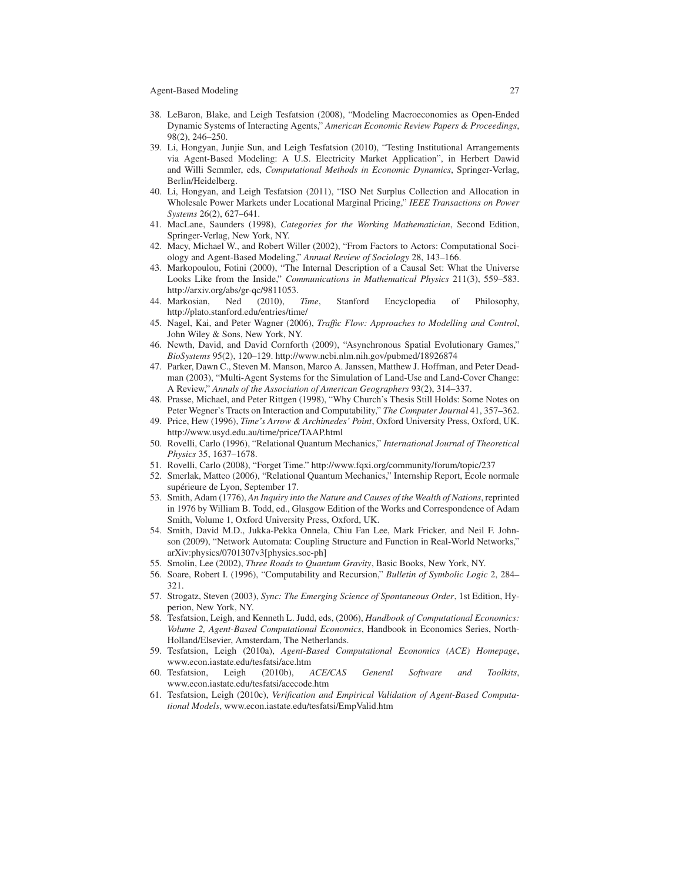- 38. LeBaron, Blake, and Leigh Tesfatsion (2008), "Modeling Macroeconomies as Open-Ended Dynamic Systems of Interacting Agents," *American Economic Review Papers & Proceedings*, 98(2), 246–250.
- 39. Li, Hongyan, Junjie Sun, and Leigh Tesfatsion (2010), "Testing Institutional Arrangements via Agent-Based Modeling: A U.S. Electricity Market Application", in Herbert Dawid and Willi Semmler, eds, *Computational Methods in Economic Dynamics*, Springer-Verlag, Berlin/Heidelberg.
- 40. Li, Hongyan, and Leigh Tesfatsion (2011), "ISO Net Surplus Collection and Allocation in Wholesale Power Markets under Locational Marginal Pricing," *IEEE Transactions on Power Systems* 26(2), 627–641.
- 41. MacLane, Saunders (1998), *Categories for the Working Mathematician*, Second Edition, Springer-Verlag, New York, NY.
- 42. Macy, Michael W., and Robert Willer (2002), "From Factors to Actors: Computational Sociology and Agent-Based Modeling," *Annual Review of Sociology* 28, 143–166.
- 43. Markopoulou, Fotini (2000), "The Internal Description of a Causal Set: What the Universe Looks Like from the Inside," *Communications in Mathematical Physics* 211(3), 559–583. http://arxiv.org/abs/gr-qc/9811053.
- 44. Markosian, Ned (2010), *Time*, Stanford Encyclopedia of Philosophy, http://plato.stanford.edu/entries/time/
- 45. Nagel, Kai, and Peter Wagner (2006), *Traffic Flow: Approaches to Modelling and Control*, John Wiley & Sons, New York, NY.
- 46. Newth, David, and David Cornforth (2009), "Asynchronous Spatial Evolutionary Games," *BioSystems* 95(2), 120–129. http://www.ncbi.nlm.nih.gov/pubmed/18926874
- 47. Parker, Dawn C., Steven M. Manson, Marco A. Janssen, Matthew J. Hoffman, and Peter Deadman (2003), "Multi-Agent Systems for the Simulation of Land-Use and Land-Cover Change: A Review," *Annals of the Association of American Geographers* 93(2), 314–337.
- 48. Prasse, Michael, and Peter Rittgen (1998), "Why Church's Thesis Still Holds: Some Notes on Peter Wegner's Tracts on Interaction and Computability," *The Computer Journal* 41, 357–362.
- 49. Price, Hew (1996), *Time's Arrow & Archimedes' Point*, Oxford University Press, Oxford, UK. http://www.usyd.edu.au/time/price/TAAP.html
- 50. Rovelli, Carlo (1996), "Relational Quantum Mechanics," *International Journal of Theoretical Physics* 35, 1637–1678.
- 51. Rovelli, Carlo (2008), "Forget Time." http://www.fqxi.org/community/forum/topic/237
- 52. Smerlak, Matteo (2006), "Relational Quantum Mechanics," Internship Report, Ecole normale supérieure de Lyon, September 17.
- 53. Smith, Adam (1776), *An Inquiry into the Nature and Causes of the Wealth of Nations*, reprinted in 1976 by William B. Todd, ed., Glasgow Edition of the Works and Correspondence of Adam Smith, Volume 1, Oxford University Press, Oxford, UK.
- 54. Smith, David M.D., Jukka-Pekka Onnela, Chiu Fan Lee, Mark Fricker, and Neil F. Johnson (2009), "Network Automata: Coupling Structure and Function in Real-World Networks," arXiv:physics/0701307v3[physics.soc-ph]
- 55. Smolin, Lee (2002), *Three Roads to Quantum Gravity*, Basic Books, New York, NY.
- 56. Soare, Robert I. (1996), "Computability and Recursion," *Bulletin of Symbolic Logic* 2, 284– 321.
- 57. Strogatz, Steven (2003), *Sync: The Emerging Science of Spontaneous Order*, 1st Edition, Hyperion, New York, NY.
- 58. Tesfatsion, Leigh, and Kenneth L. Judd, eds, (2006), *Handbook of Computational Economics: Volume 2, Agent-Based Computational Economics*, Handbook in Economics Series, North-Holland/Elsevier, Amsterdam, The Netherlands.
- 59. Tesfatsion, Leigh (2010a), *Agent-Based Computational Economics (ACE) Homepage*, www.econ.iastate.edu/tesfatsi/ace.htm<br>Tesfatsion, Leigh (2010b), *ACE/CAS*
- 60. Tesfatsion, Leigh (2010b), *ACE/CAS General Software and Toolkits*, www.econ.iastate.edu/tesfatsi/acecode.htm
- 61. Tesfatsion, Leigh (2010c), *Verification and Empirical Validation of Agent-Based Computational Models*, www.econ.iastate.edu/tesfatsi/EmpValid.htm